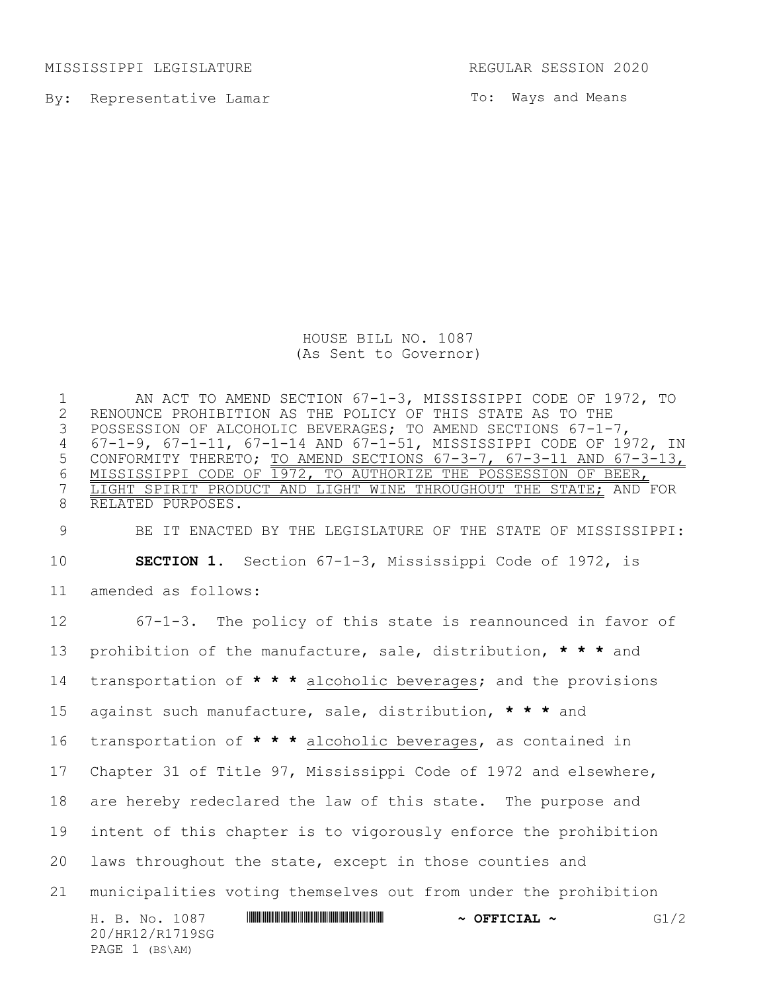MISSISSIPPI LEGISLATURE REGULAR SESSION 2020

PAGE 1 (BS\AM)

By: Representative Lamar

To: Ways and Means

HOUSE BILL NO. 1087 (As Sent to Governor)

1 AN ACT TO AMEND SECTION 67-1-3, MISSISSIPPI CODE OF 1972, TO<br>2 RENOUNCE PROHIBITION AS THE POLICY OF THIS STATE AS TO THE 2 RENOUNCE PROHIBITION AS THE POLICY OF THIS STATE AS TO THE<br>3 POSSESSION OF ALCOHOLIC BEVERAGES; TO AMEND SECTIONS 67-1-POSSESSION OF ALCOHOLIC BEVERAGES; TO AMEND SECTIONS 67-1-7, 4 67-1-9, 67-1-11, 67-1-14 AND 67-1-51, MISSISSIPPI CODE OF 1972, IN 5 CONFORMITY THERETO; TO AMEND SECTIONS 67-3-7, 67-3-11 AND 67-3-13, 6 MISSISSIPPI CODE OF 1972, TO AUTHORIZE THE POSSESSION OF BEER,<br>7 LIGHT SPIRIT PRODUCT AND LIGHT WINE THROUGHOUT THE STATE; AND LIGHT SPIRIT PRODUCT AND LIGHT WINE THROUGHOUT THE STATE; AND FOR 8 RELATED PURPOSES.

9 BE IT ENACTED BY THE LEGISLATURE OF THE STATE OF MISSISSIPPI: 10 **SECTION 1.** Section 67-1-3, Mississippi Code of 1972, is 11 amended as follows:

H. B. No. 1087 \*HR12/R1719SG\* **~ OFFICIAL ~** G1/2 20/HR12/R1719SG 67-1-3. The policy of this state is reannounced in favor of prohibition of the manufacture, sale, distribution, **\* \* \*** and transportation of **\* \* \*** alcoholic beverages; and the provisions against such manufacture, sale, distribution, **\* \* \*** and transportation of **\* \* \*** alcoholic beverages, as contained in Chapter 31 of Title 97, Mississippi Code of 1972 and elsewhere, are hereby redeclared the law of this state. The purpose and intent of this chapter is to vigorously enforce the prohibition laws throughout the state, except in those counties and municipalities voting themselves out from under the prohibition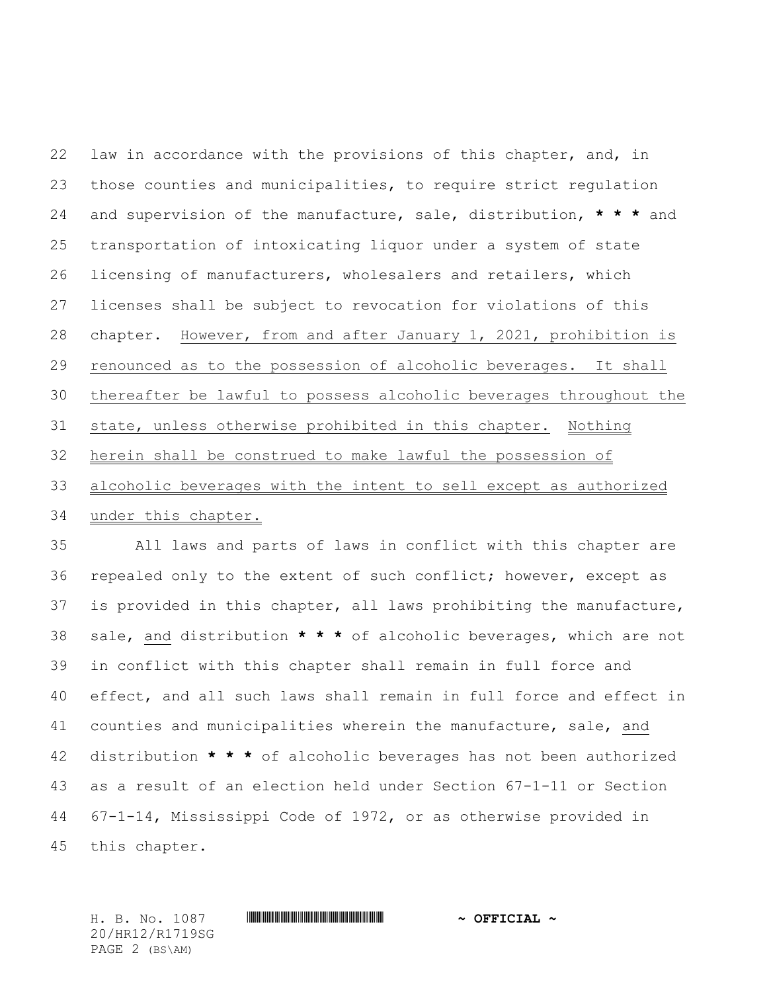law in accordance with the provisions of this chapter, and, in those counties and municipalities, to require strict regulation and supervision of the manufacture, sale, distribution, **\* \* \*** and transportation of intoxicating liquor under a system of state licensing of manufacturers, wholesalers and retailers, which licenses shall be subject to revocation for violations of this chapter. However, from and after January 1, 2021, prohibition is renounced as to the possession of alcoholic beverages. It shall thereafter be lawful to possess alcoholic beverages throughout the state, unless otherwise prohibited in this chapter. Nothing herein shall be construed to make lawful the possession of alcoholic beverages with the intent to sell except as authorized

under this chapter.

 All laws and parts of laws in conflict with this chapter are repealed only to the extent of such conflict; however, except as is provided in this chapter, all laws prohibiting the manufacture, sale, and distribution **\* \* \*** of alcoholic beverages, which are not in conflict with this chapter shall remain in full force and effect, and all such laws shall remain in full force and effect in counties and municipalities wherein the manufacture, sale, and distribution **\* \* \*** of alcoholic beverages has not been authorized as a result of an election held under Section 67-1-11 or Section 67-1-14, Mississippi Code of 1972, or as otherwise provided in this chapter.

H. B. No. 1087 \*HR12/R1719SG\* **~ OFFICIAL ~** 20/HR12/R1719SG PAGE 2 (BS\AM)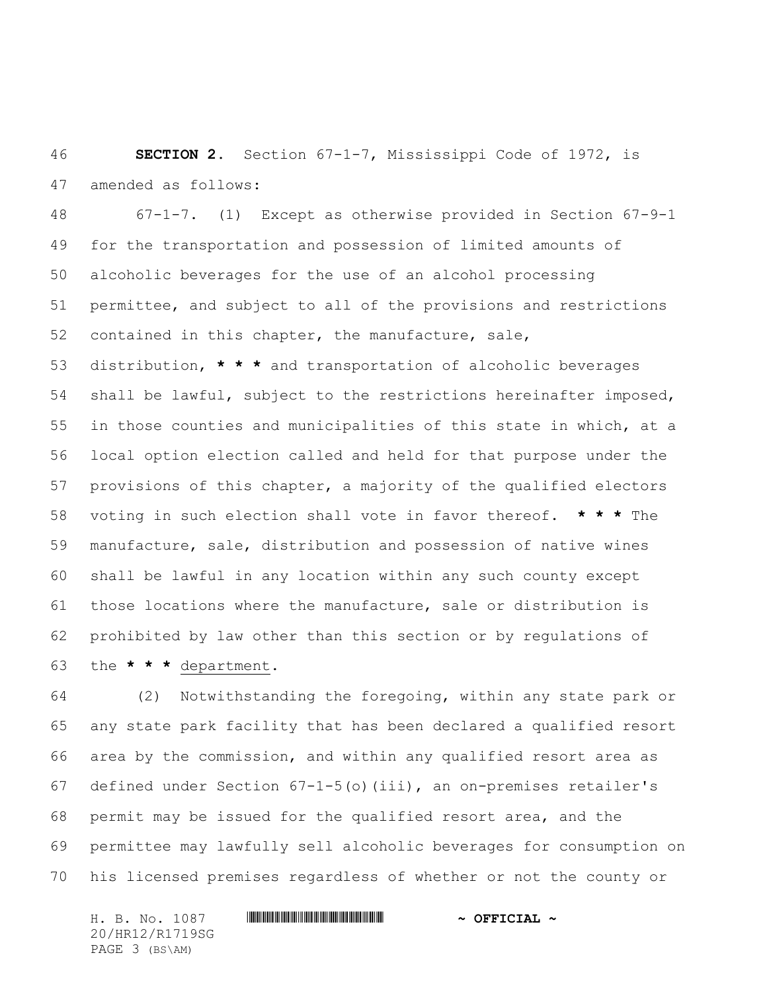**SECTION 2.** Section 67-1-7, Mississippi Code of 1972, is amended as follows:

 67-1-7. (1) Except as otherwise provided in Section 67-9-1 for the transportation and possession of limited amounts of alcoholic beverages for the use of an alcohol processing permittee, and subject to all of the provisions and restrictions contained in this chapter, the manufacture, sale,

 distribution, **\* \* \*** and transportation of alcoholic beverages shall be lawful, subject to the restrictions hereinafter imposed, in those counties and municipalities of this state in which, at a local option election called and held for that purpose under the provisions of this chapter, a majority of the qualified electors voting in such election shall vote in favor thereof. **\* \* \*** The manufacture, sale, distribution and possession of native wines shall be lawful in any location within any such county except those locations where the manufacture, sale or distribution is prohibited by law other than this section or by regulations of the **\* \* \*** department.

 (2) Notwithstanding the foregoing, within any state park or any state park facility that has been declared a qualified resort area by the commission, and within any qualified resort area as defined under Section 67-1-5(o)(iii), an on-premises retailer's permit may be issued for the qualified resort area, and the permittee may lawfully sell alcoholic beverages for consumption on his licensed premises regardless of whether or not the county or

H. B. No. 1087 \*HR12/R1719SG\* **~ OFFICIAL ~** 20/HR12/R1719SG PAGE 3 (BS\AM)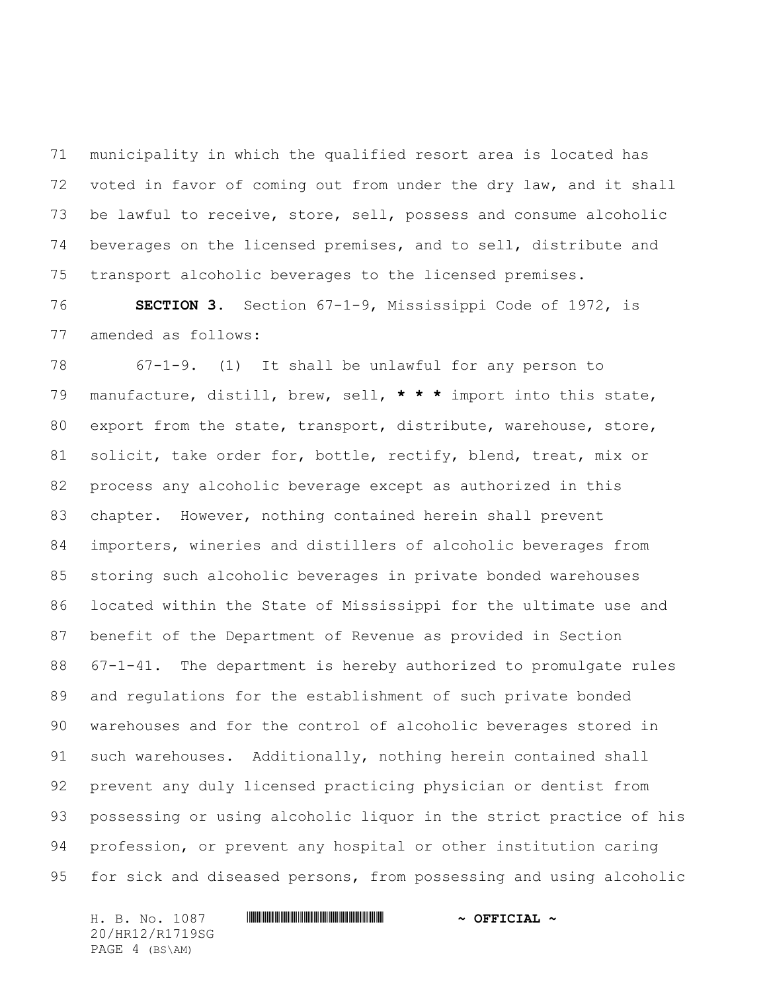municipality in which the qualified resort area is located has voted in favor of coming out from under the dry law, and it shall be lawful to receive, store, sell, possess and consume alcoholic beverages on the licensed premises, and to sell, distribute and transport alcoholic beverages to the licensed premises.

 **SECTION 3.** Section 67-1-9, Mississippi Code of 1972, is amended as follows:

 67-1-9. (1) It shall be unlawful for any person to manufacture, distill, brew, sell, **\* \* \*** import into this state, 80 export from the state, transport, distribute, warehouse, store, solicit, take order for, bottle, rectify, blend, treat, mix or process any alcoholic beverage except as authorized in this chapter. However, nothing contained herein shall prevent importers, wineries and distillers of alcoholic beverages from storing such alcoholic beverages in private bonded warehouses located within the State of Mississippi for the ultimate use and benefit of the Department of Revenue as provided in Section 67-1-41. The department is hereby authorized to promulgate rules and regulations for the establishment of such private bonded warehouses and for the control of alcoholic beverages stored in such warehouses. Additionally, nothing herein contained shall prevent any duly licensed practicing physician or dentist from possessing or using alcoholic liquor in the strict practice of his profession, or prevent any hospital or other institution caring for sick and diseased persons, from possessing and using alcoholic

H. B. No. 1087 \*HR12/R1719SG\* **~ OFFICIAL ~** 20/HR12/R1719SG PAGE 4 (BS\AM)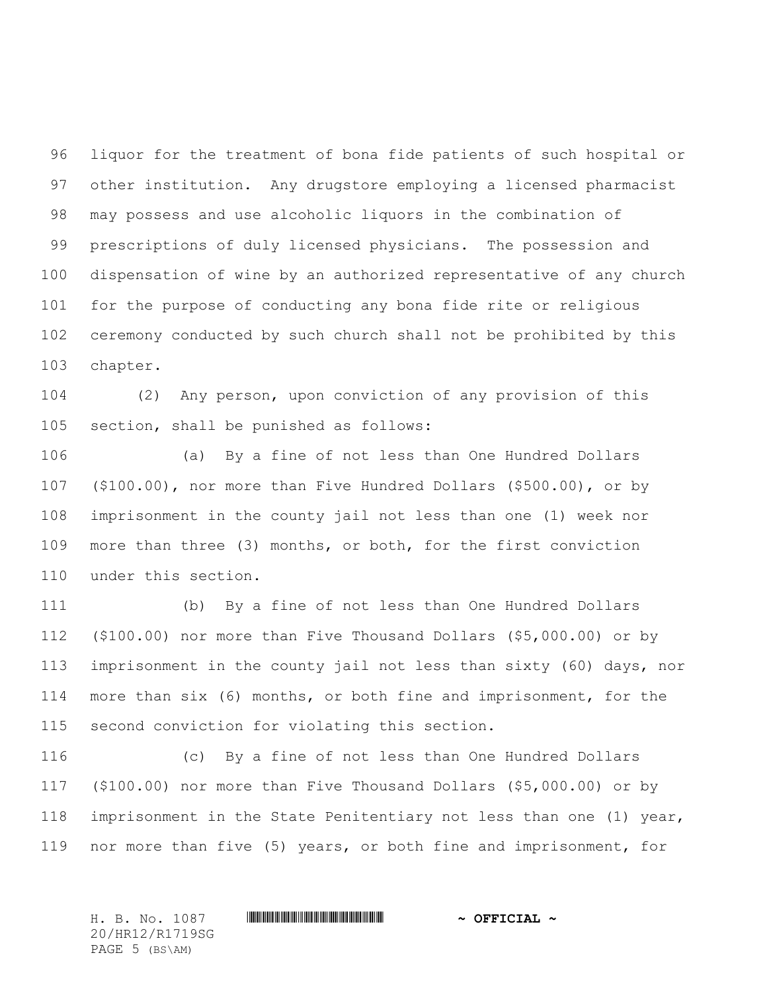liquor for the treatment of bona fide patients of such hospital or other institution. Any drugstore employing a licensed pharmacist may possess and use alcoholic liquors in the combination of prescriptions of duly licensed physicians. The possession and dispensation of wine by an authorized representative of any church for the purpose of conducting any bona fide rite or religious ceremony conducted by such church shall not be prohibited by this chapter.

 (2) Any person, upon conviction of any provision of this section, shall be punished as follows:

 (a) By a fine of not less than One Hundred Dollars (\$100.00), nor more than Five Hundred Dollars (\$500.00), or by imprisonment in the county jail not less than one (1) week nor more than three (3) months, or both, for the first conviction under this section.

 (b) By a fine of not less than One Hundred Dollars (\$100.00) nor more than Five Thousand Dollars (\$5,000.00) or by imprisonment in the county jail not less than sixty (60) days, nor more than six (6) months, or both fine and imprisonment, for the second conviction for violating this section.

 (c) By a fine of not less than One Hundred Dollars (\$100.00) nor more than Five Thousand Dollars (\$5,000.00) or by imprisonment in the State Penitentiary not less than one (1) year, nor more than five (5) years, or both fine and imprisonment, for

H. B. No. 1087 \*HR12/R1719SG\* **~ OFFICIAL ~** 20/HR12/R1719SG PAGE 5 (BS\AM)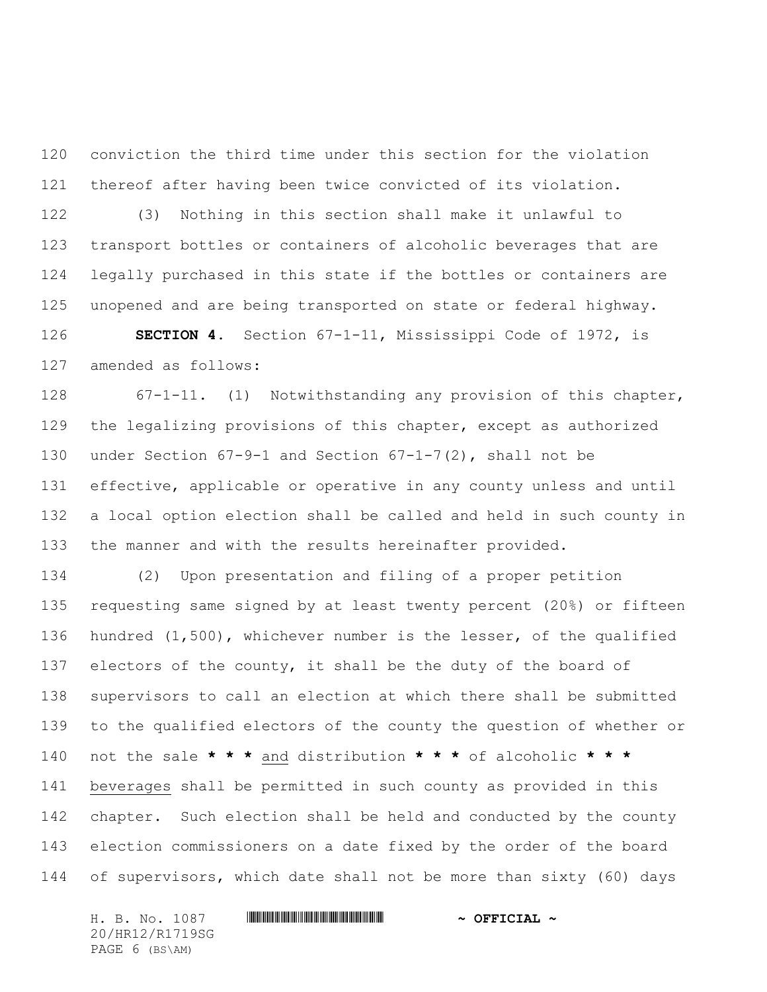conviction the third time under this section for the violation thereof after having been twice convicted of its violation.

 (3) Nothing in this section shall make it unlawful to transport bottles or containers of alcoholic beverages that are legally purchased in this state if the bottles or containers are unopened and are being transported on state or federal highway.

 **SECTION 4.** Section 67-1-11, Mississippi Code of 1972, is amended as follows:

 67-1-11. (1) Notwithstanding any provision of this chapter, the legalizing provisions of this chapter, except as authorized under Section 67-9-1 and Section 67-1-7(2), shall not be effective, applicable or operative in any county unless and until a local option election shall be called and held in such county in the manner and with the results hereinafter provided.

 (2) Upon presentation and filing of a proper petition requesting same signed by at least twenty percent (20%) or fifteen hundred (1,500), whichever number is the lesser, of the qualified electors of the county, it shall be the duty of the board of supervisors to call an election at which there shall be submitted to the qualified electors of the county the question of whether or not the sale **\* \* \*** and distribution **\* \* \*** of alcoholic **\* \* \*** beverages shall be permitted in such county as provided in this 142 chapter. Such election shall be held and conducted by the county election commissioners on a date fixed by the order of the board of supervisors, which date shall not be more than sixty (60) days

H. B. No. 1087 \*HR12/R1719SG\* **~ OFFICIAL ~** 20/HR12/R1719SG PAGE 6 (BS\AM)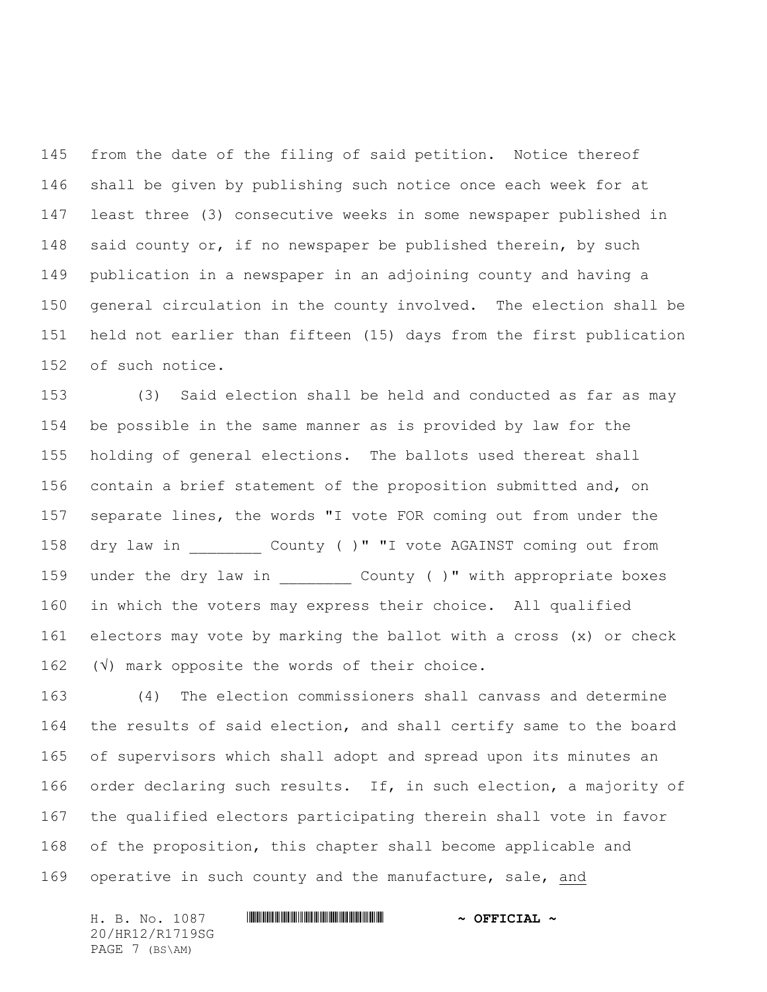from the date of the filing of said petition. Notice thereof shall be given by publishing such notice once each week for at least three (3) consecutive weeks in some newspaper published in 148 said county or, if no newspaper be published therein, by such publication in a newspaper in an adjoining county and having a general circulation in the county involved. The election shall be held not earlier than fifteen (15) days from the first publication of such notice.

 (3) Said election shall be held and conducted as far as may be possible in the same manner as is provided by law for the holding of general elections. The ballots used thereat shall contain a brief statement of the proposition submitted and, on separate lines, the words "I vote FOR coming out from under the 158 dry law in  $\hbox{County}$  ( )" "I vote AGAINST coming out from 159 under the dry law in  $\qquad$  County ( )" with appropriate boxes in which the voters may express their choice. All qualified electors may vote by marking the ballot with a cross (x) or check  $(\sqrt{v})$  mark opposite the words of their choice.

 (4) The election commissioners shall canvass and determine the results of said election, and shall certify same to the board of supervisors which shall adopt and spread upon its minutes an order declaring such results. If, in such election, a majority of the qualified electors participating therein shall vote in favor of the proposition, this chapter shall become applicable and operative in such county and the manufacture, sale, and

H. B. No. 1087 \*HR12/R1719SG\* **~ OFFICIAL ~** 20/HR12/R1719SG PAGE 7 (BS\AM)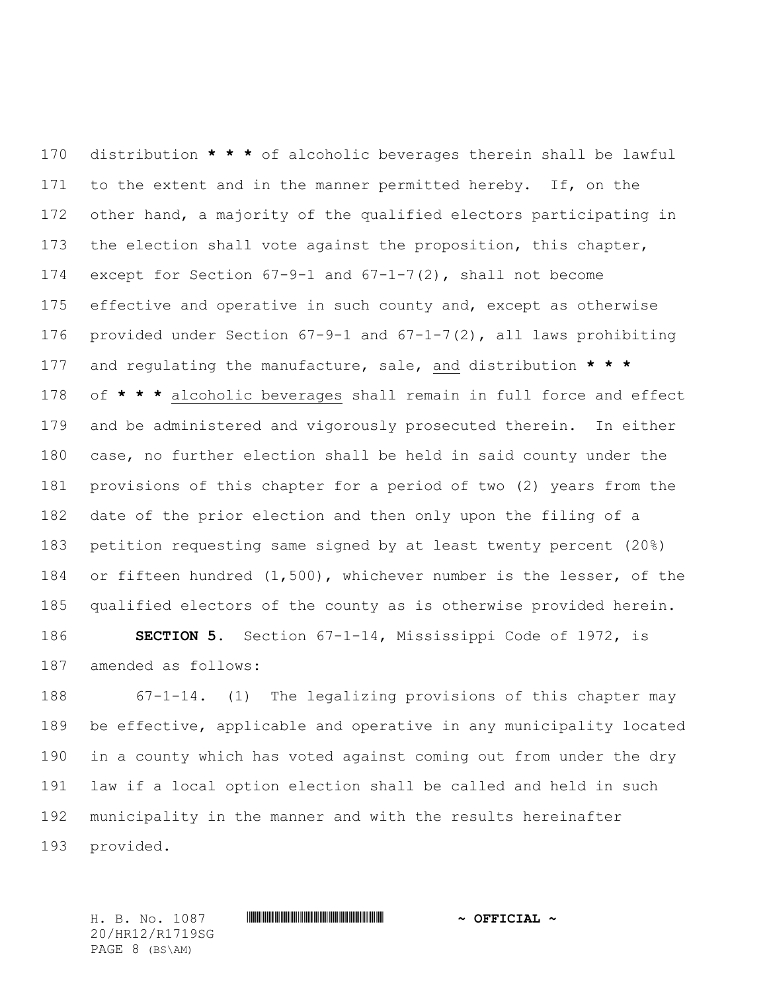distribution **\* \* \*** of alcoholic beverages therein shall be lawful 171 to the extent and in the manner permitted hereby. If, on the 172 other hand, a majority of the qualified electors participating in the election shall vote against the proposition, this chapter, except for Section 67-9-1 and 67-1-7(2), shall not become 175 effective and operative in such county and, except as otherwise provided under Section 67-9-1 and 67-1-7(2), all laws prohibiting and regulating the manufacture, sale, and distribution **\* \* \*** of **\* \* \*** alcoholic beverages shall remain in full force and effect and be administered and vigorously prosecuted therein. In either case, no further election shall be held in said county under the provisions of this chapter for a period of two (2) years from the date of the prior election and then only upon the filing of a petition requesting same signed by at least twenty percent (20%) or fifteen hundred (1,500), whichever number is the lesser, of the qualified electors of the county as is otherwise provided herein.

 **SECTION 5.** Section 67-1-14, Mississippi Code of 1972, is amended as follows:

 67-1-14. (1) The legalizing provisions of this chapter may be effective, applicable and operative in any municipality located in a county which has voted against coming out from under the dry law if a local option election shall be called and held in such municipality in the manner and with the results hereinafter provided.

20/HR12/R1719SG PAGE 8 (BS\AM)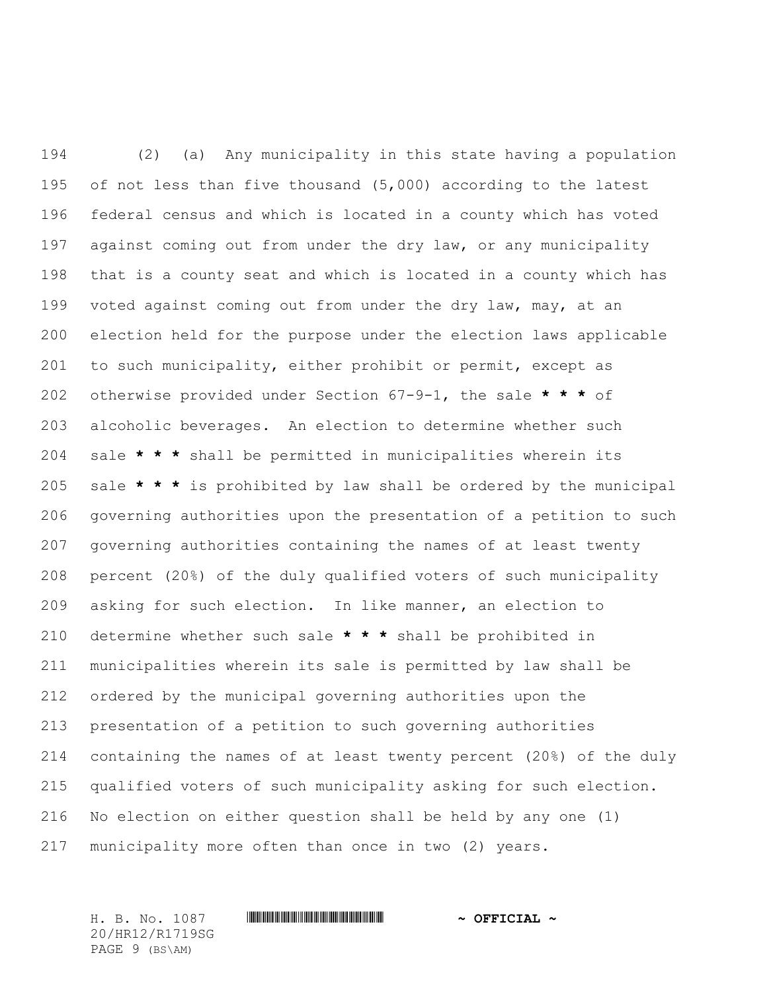(2) (a) Any municipality in this state having a population of not less than five thousand (5,000) according to the latest federal census and which is located in a county which has voted against coming out from under the dry law, or any municipality that is a county seat and which is located in a county which has voted against coming out from under the dry law, may, at an election held for the purpose under the election laws applicable to such municipality, either prohibit or permit, except as otherwise provided under Section 67-9-1, the sale **\* \* \*** of alcoholic beverages. An election to determine whether such sale **\* \* \*** shall be permitted in municipalities wherein its sale **\* \* \*** is prohibited by law shall be ordered by the municipal governing authorities upon the presentation of a petition to such governing authorities containing the names of at least twenty percent (20%) of the duly qualified voters of such municipality asking for such election. In like manner, an election to determine whether such sale **\* \* \*** shall be prohibited in municipalities wherein its sale is permitted by law shall be ordered by the municipal governing authorities upon the presentation of a petition to such governing authorities containing the names of at least twenty percent (20%) of the duly qualified voters of such municipality asking for such election. No election on either question shall be held by any one (1) municipality more often than once in two (2) years.

20/HR12/R1719SG PAGE 9 (BS\AM)

## H. B. No. 1087 \*HR12/R1719SG\* **~ OFFICIAL ~**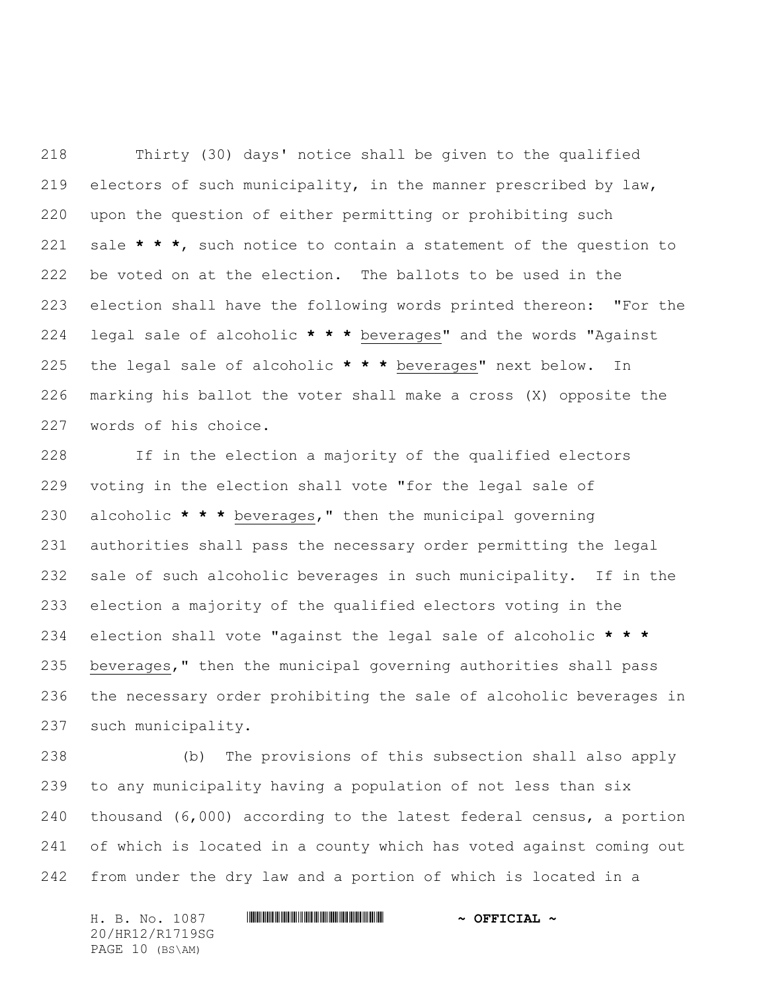Thirty (30) days' notice shall be given to the qualified electors of such municipality, in the manner prescribed by law, upon the question of either permitting or prohibiting such sale **\* \* \***, such notice to contain a statement of the question to be voted on at the election. The ballots to be used in the election shall have the following words printed thereon: "For the legal sale of alcoholic **\* \* \*** beverages" and the words "Against the legal sale of alcoholic **\* \* \*** beverages" next below. In marking his ballot the voter shall make a cross (X) opposite the words of his choice.

 If in the election a majority of the qualified electors voting in the election shall vote "for the legal sale of alcoholic **\* \* \*** beverages," then the municipal governing authorities shall pass the necessary order permitting the legal sale of such alcoholic beverages in such municipality. If in the election a majority of the qualified electors voting in the election shall vote "against the legal sale of alcoholic **\* \* \*** beverages," then the municipal governing authorities shall pass the necessary order prohibiting the sale of alcoholic beverages in such municipality.

 (b) The provisions of this subsection shall also apply to any municipality having a population of not less than six thousand (6,000) according to the latest federal census, a portion of which is located in a county which has voted against coming out from under the dry law and a portion of which is located in a

H. B. No. 1087 \*HR12/R1719SG\* **~ OFFICIAL ~** 20/HR12/R1719SG PAGE 10 (BS\AM)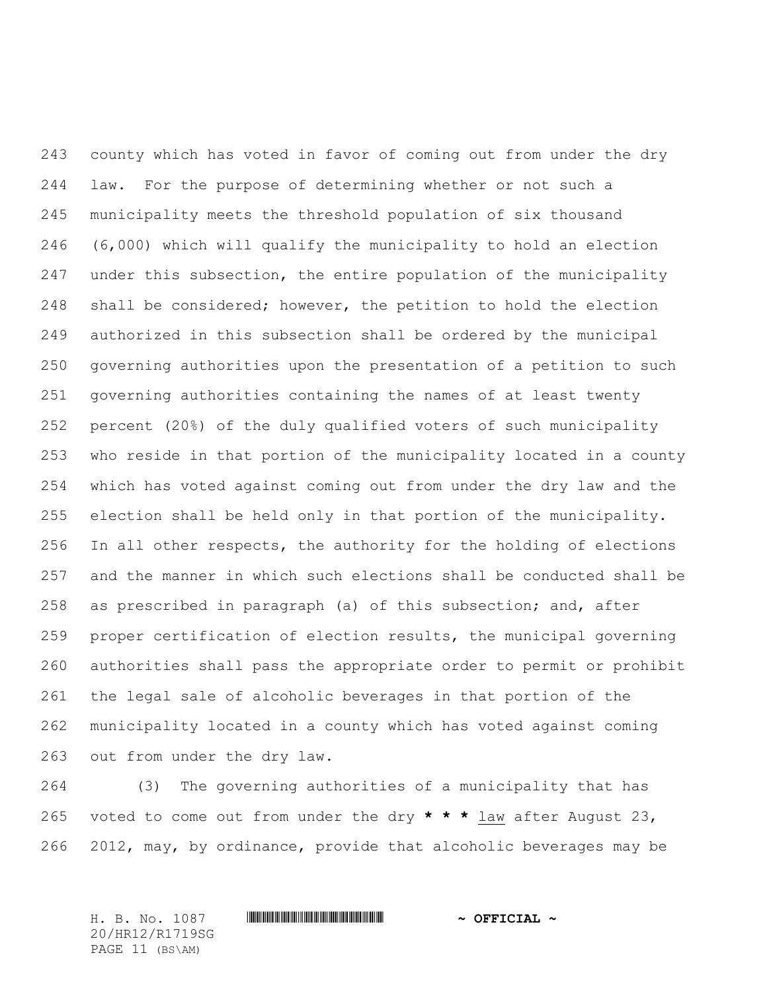county which has voted in favor of coming out from under the dry law. For the purpose of determining whether or not such a municipality meets the threshold population of six thousand (6,000) which will qualify the municipality to hold an election under this subsection, the entire population of the municipality shall be considered; however, the petition to hold the election authorized in this subsection shall be ordered by the municipal governing authorities upon the presentation of a petition to such governing authorities containing the names of at least twenty percent (20%) of the duly qualified voters of such municipality who reside in that portion of the municipality located in a county which has voted against coming out from under the dry law and the election shall be held only in that portion of the municipality. 256 In all other respects, the authority for the holding of elections and the manner in which such elections shall be conducted shall be as prescribed in paragraph (a) of this subsection; and, after proper certification of election results, the municipal governing authorities shall pass the appropriate order to permit or prohibit the legal sale of alcoholic beverages in that portion of the municipality located in a county which has voted against coming out from under the dry law.

 (3) The governing authorities of a municipality that has voted to come out from under the dry **\* \* \*** law after August 23, 2012, may, by ordinance, provide that alcoholic beverages may be

20/HR12/R1719SG PAGE 11 (BS\AM)

# H. B. No. 1087 \*HR12/R1719SG\* **~ OFFICIAL ~**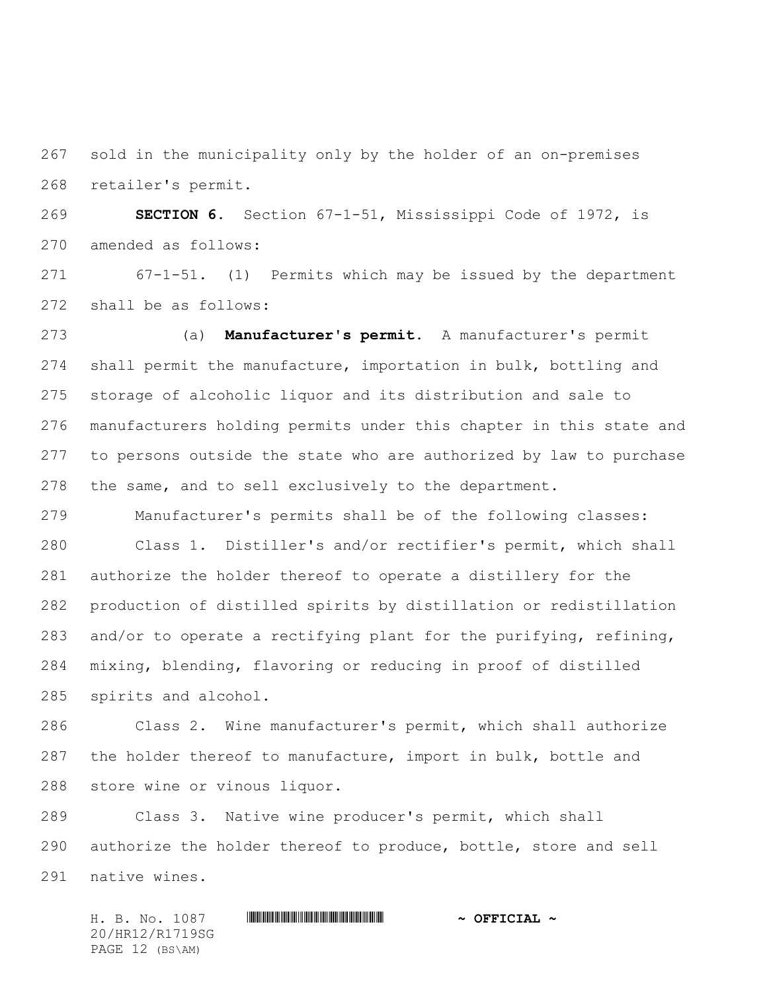sold in the municipality only by the holder of an on-premises retailer's permit.

 **SECTION 6.** Section 67-1-51, Mississippi Code of 1972, is amended as follows:

 67-1-51. (1) Permits which may be issued by the department shall be as follows:

 (a) **Manufacturer's permit.** A manufacturer's permit shall permit the manufacture, importation in bulk, bottling and storage of alcoholic liquor and its distribution and sale to manufacturers holding permits under this chapter in this state and to persons outside the state who are authorized by law to purchase the same, and to sell exclusively to the department.

Manufacturer's permits shall be of the following classes:

 Class 1. Distiller's and/or rectifier's permit, which shall authorize the holder thereof to operate a distillery for the production of distilled spirits by distillation or redistillation and/or to operate a rectifying plant for the purifying, refining, mixing, blending, flavoring or reducing in proof of distilled spirits and alcohol.

 Class 2. Wine manufacturer's permit, which shall authorize the holder thereof to manufacture, import in bulk, bottle and store wine or vinous liquor.

 Class 3. Native wine producer's permit, which shall authorize the holder thereof to produce, bottle, store and sell native wines.

H. B. No. 1087 \*HR12/R1719SG\* **~ OFFICIAL ~** 20/HR12/R1719SG PAGE 12 (BS\AM)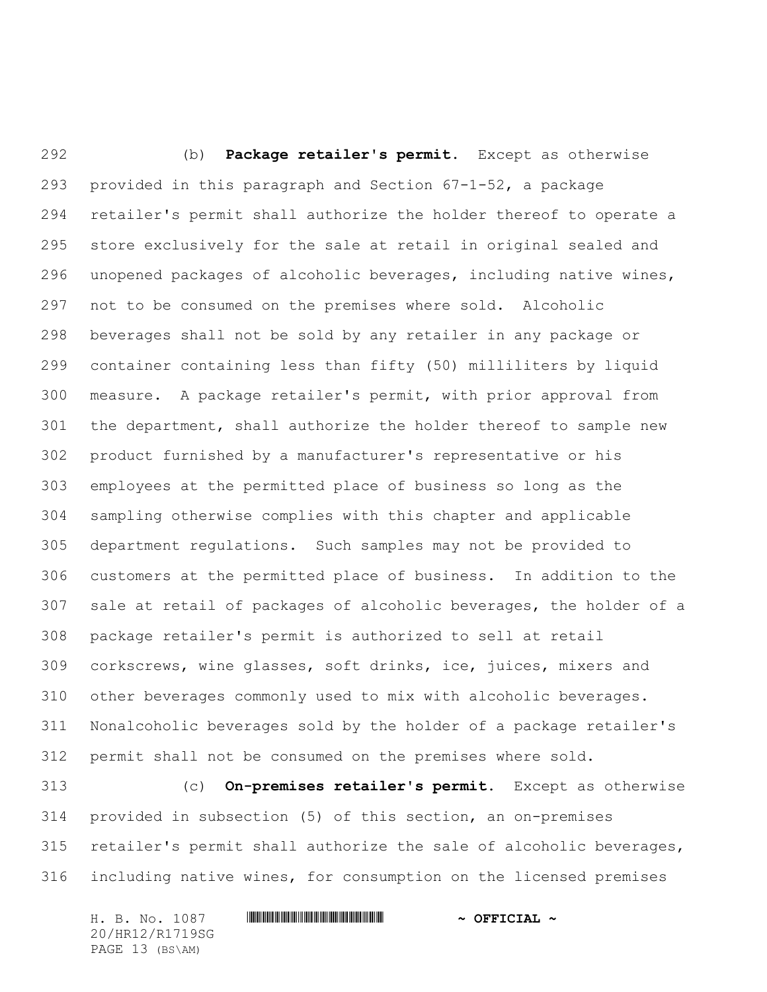(b) **Package retailer's permit.** Except as otherwise provided in this paragraph and Section 67-1-52, a package retailer's permit shall authorize the holder thereof to operate a store exclusively for the sale at retail in original sealed and unopened packages of alcoholic beverages, including native wines, not to be consumed on the premises where sold. Alcoholic beverages shall not be sold by any retailer in any package or container containing less than fifty (50) milliliters by liquid measure. A package retailer's permit, with prior approval from the department, shall authorize the holder thereof to sample new product furnished by a manufacturer's representative or his employees at the permitted place of business so long as the sampling otherwise complies with this chapter and applicable department regulations. Such samples may not be provided to customers at the permitted place of business. In addition to the sale at retail of packages of alcoholic beverages, the holder of a package retailer's permit is authorized to sell at retail corkscrews, wine glasses, soft drinks, ice, juices, mixers and other beverages commonly used to mix with alcoholic beverages. Nonalcoholic beverages sold by the holder of a package retailer's permit shall not be consumed on the premises where sold.

 (c) **On-premises retailer's permit.** Except as otherwise provided in subsection (5) of this section, an on-premises retailer's permit shall authorize the sale of alcoholic beverages, including native wines, for consumption on the licensed premises

H. B. No. 1087 \*HR12/R1719SG\* **~ OFFICIAL ~** 20/HR12/R1719SG PAGE 13 (BS\AM)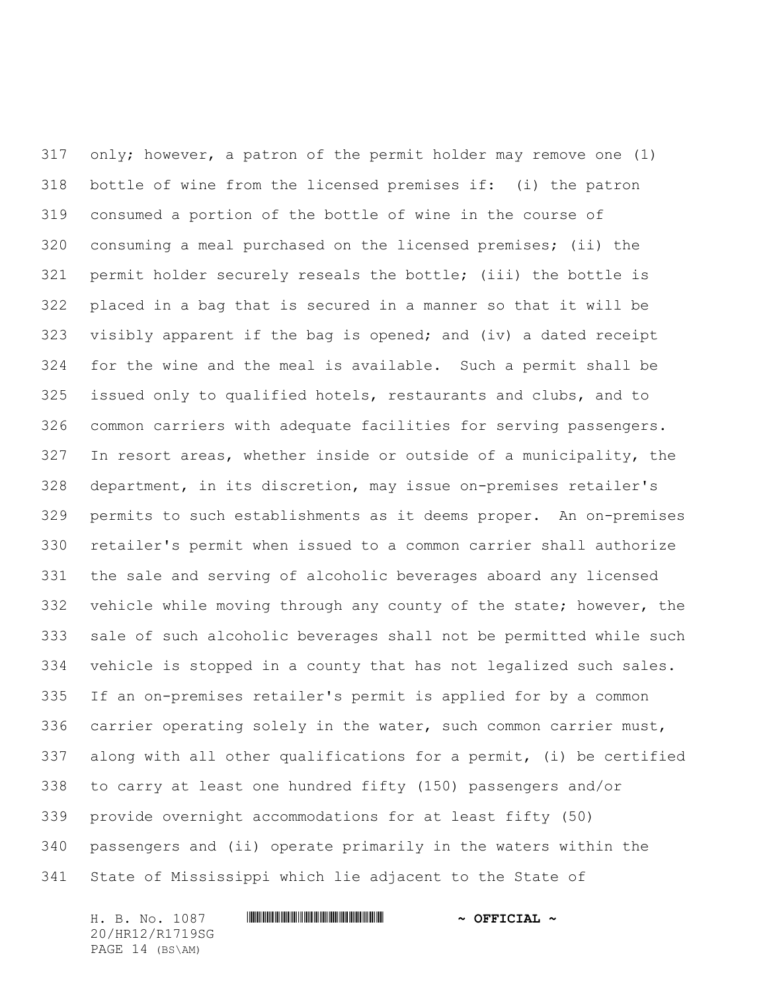only; however, a patron of the permit holder may remove one (1) bottle of wine from the licensed premises if: (i) the patron consumed a portion of the bottle of wine in the course of consuming a meal purchased on the licensed premises; (ii) the permit holder securely reseals the bottle; (iii) the bottle is placed in a bag that is secured in a manner so that it will be visibly apparent if the bag is opened; and (iv) a dated receipt for the wine and the meal is available. Such a permit shall be issued only to qualified hotels, restaurants and clubs, and to common carriers with adequate facilities for serving passengers. In resort areas, whether inside or outside of a municipality, the department, in its discretion, may issue on-premises retailer's permits to such establishments as it deems proper. An on-premises retailer's permit when issued to a common carrier shall authorize the sale and serving of alcoholic beverages aboard any licensed vehicle while moving through any county of the state; however, the sale of such alcoholic beverages shall not be permitted while such vehicle is stopped in a county that has not legalized such sales. If an on-premises retailer's permit is applied for by a common carrier operating solely in the water, such common carrier must, along with all other qualifications for a permit, (i) be certified to carry at least one hundred fifty (150) passengers and/or provide overnight accommodations for at least fifty (50) passengers and (ii) operate primarily in the waters within the State of Mississippi which lie adjacent to the State of

H. B. No. 1087 \*HR12/R1719SG\* **~ OFFICIAL ~** 20/HR12/R1719SG PAGE 14 (BS\AM)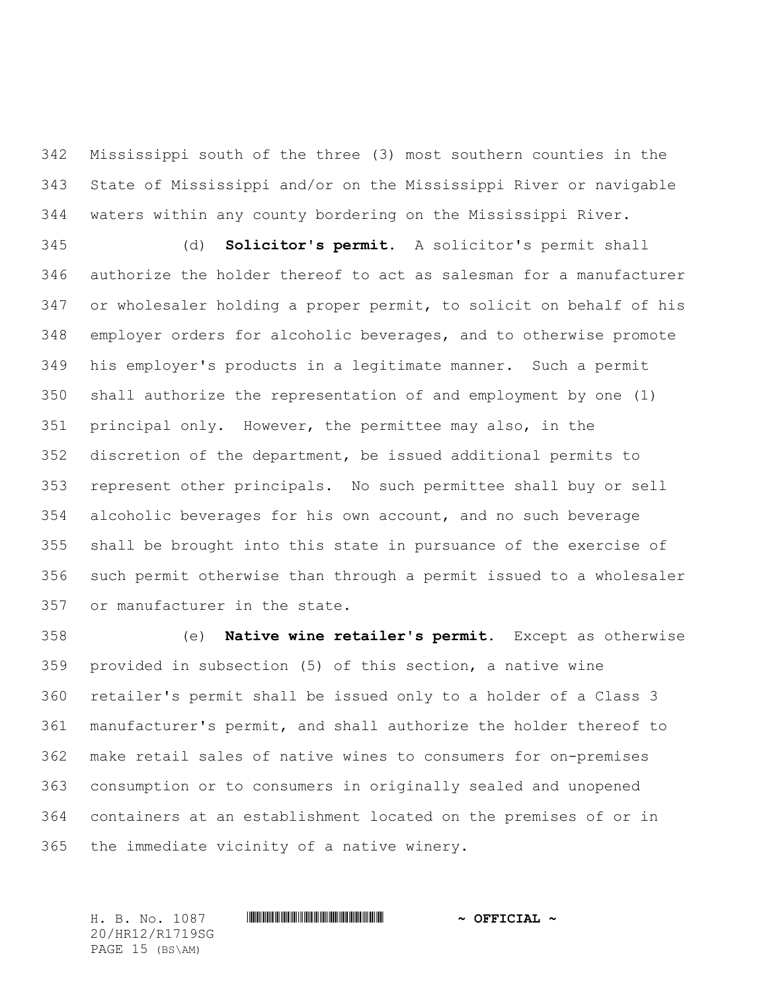Mississippi south of the three (3) most southern counties in the State of Mississippi and/or on the Mississippi River or navigable waters within any county bordering on the Mississippi River.

 (d) **Solicitor's permit.** A solicitor's permit shall authorize the holder thereof to act as salesman for a manufacturer or wholesaler holding a proper permit, to solicit on behalf of his employer orders for alcoholic beverages, and to otherwise promote his employer's products in a legitimate manner. Such a permit shall authorize the representation of and employment by one (1) principal only. However, the permittee may also, in the discretion of the department, be issued additional permits to represent other principals. No such permittee shall buy or sell alcoholic beverages for his own account, and no such beverage shall be brought into this state in pursuance of the exercise of such permit otherwise than through a permit issued to a wholesaler or manufacturer in the state.

 (e) **Native wine retailer's permit.** Except as otherwise provided in subsection (5) of this section, a native wine retailer's permit shall be issued only to a holder of a Class 3 manufacturer's permit, and shall authorize the holder thereof to make retail sales of native wines to consumers for on-premises consumption or to consumers in originally sealed and unopened containers at an establishment located on the premises of or in the immediate vicinity of a native winery.

H. B. No. 1087 \*HR12/R1719SG\* **~ OFFICIAL ~** 20/HR12/R1719SG PAGE 15 (BS\AM)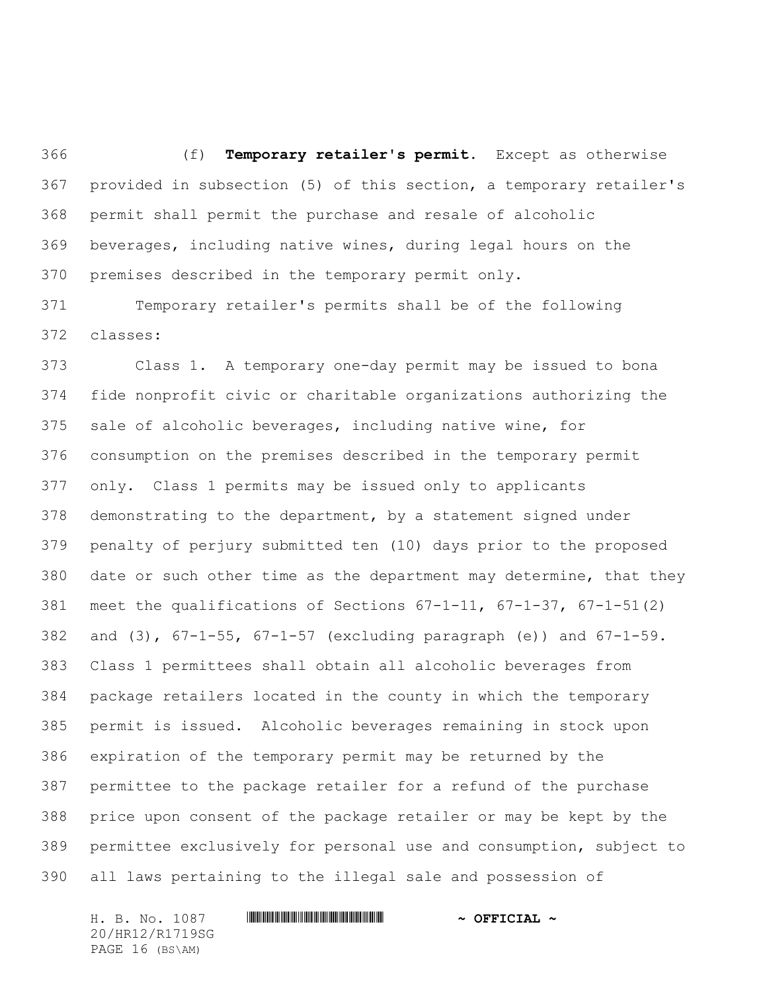(f) **Temporary retailer's permit.** Except as otherwise provided in subsection (5) of this section, a temporary retailer's permit shall permit the purchase and resale of alcoholic beverages, including native wines, during legal hours on the premises described in the temporary permit only.

 Temporary retailer's permits shall be of the following classes:

 Class 1. A temporary one-day permit may be issued to bona fide nonprofit civic or charitable organizations authorizing the sale of alcoholic beverages, including native wine, for consumption on the premises described in the temporary permit only. Class 1 permits may be issued only to applicants demonstrating to the department, by a statement signed under penalty of perjury submitted ten (10) days prior to the proposed date or such other time as the department may determine, that they meet the qualifications of Sections 67-1-11, 67-1-37, 67-1-51(2) 382 and  $(3)$ ,  $67-1-55$ ,  $67-1-57$  (excluding paragraph  $(e)$ ) and  $67-1-59$ . Class 1 permittees shall obtain all alcoholic beverages from package retailers located in the county in which the temporary permit is issued. Alcoholic beverages remaining in stock upon expiration of the temporary permit may be returned by the permittee to the package retailer for a refund of the purchase price upon consent of the package retailer or may be kept by the permittee exclusively for personal use and consumption, subject to all laws pertaining to the illegal sale and possession of

H. B. No. 1087 \*HR12/R1719SG\* **~ OFFICIAL ~** 20/HR12/R1719SG PAGE 16 (BS\AM)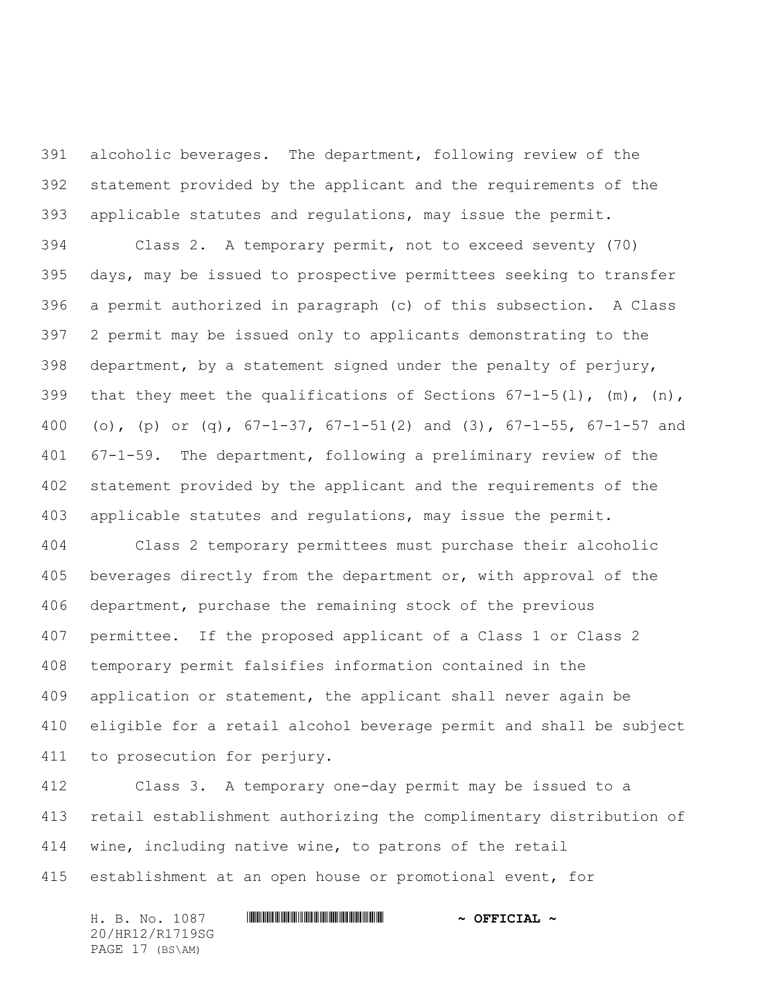alcoholic beverages. The department, following review of the statement provided by the applicant and the requirements of the applicable statutes and regulations, may issue the permit.

 Class 2. A temporary permit, not to exceed seventy (70) days, may be issued to prospective permittees seeking to transfer a permit authorized in paragraph (c) of this subsection. A Class 2 permit may be issued only to applicants demonstrating to the department, by a statement signed under the penalty of perjury, 399 that they meet the qualifications of Sections  $67-1-5(1)$ ,  $(m)$ ,  $(n)$ , 400 (o), (p) or (q),  $67-1-37$ ,  $67-1-51$  (2) and (3),  $67-1-55$ ,  $67-1-57$  and 67-1-59. The department, following a preliminary review of the statement provided by the applicant and the requirements of the applicable statutes and regulations, may issue the permit.

 Class 2 temporary permittees must purchase their alcoholic 405 beverages directly from the department or, with approval of the department, purchase the remaining stock of the previous permittee. If the proposed applicant of a Class 1 or Class 2 temporary permit falsifies information contained in the application or statement, the applicant shall never again be eligible for a retail alcohol beverage permit and shall be subject to prosecution for perjury.

 Class 3. A temporary one-day permit may be issued to a retail establishment authorizing the complimentary distribution of wine, including native wine, to patrons of the retail establishment at an open house or promotional event, for

H. B. No. 1087 \*HR12/R1719SG\* **~ OFFICIAL ~** 20/HR12/R1719SG PAGE 17 (BS\AM)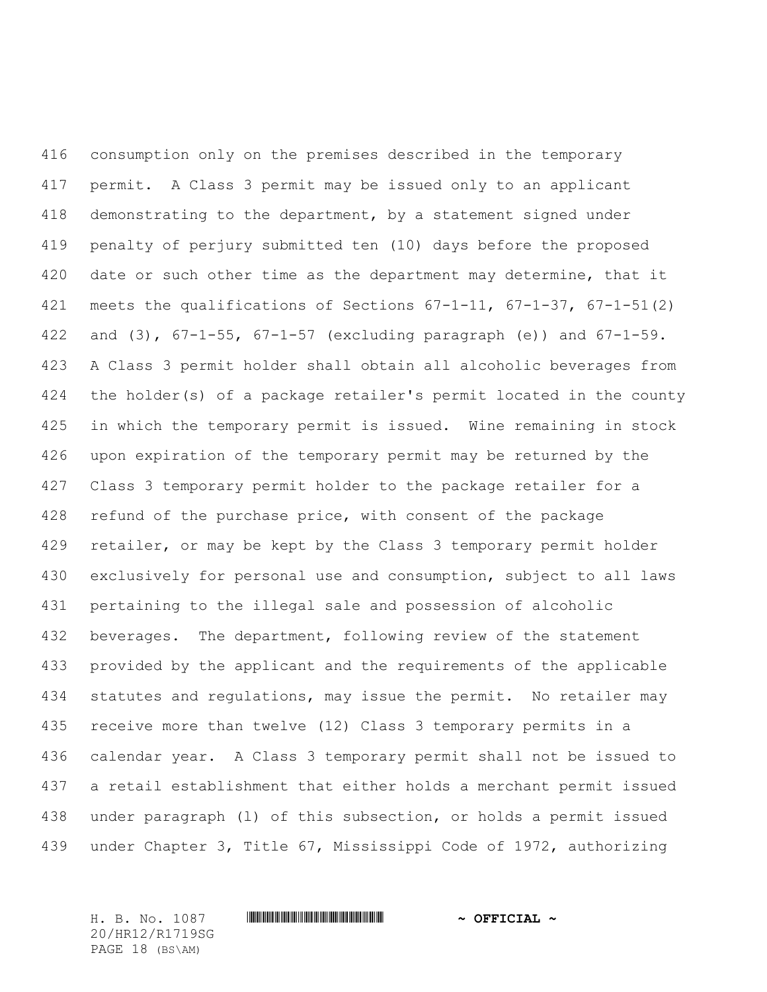consumption only on the premises described in the temporary permit. A Class 3 permit may be issued only to an applicant demonstrating to the department, by a statement signed under penalty of perjury submitted ten (10) days before the proposed 420 date or such other time as the department may determine, that it meets the qualifications of Sections 67-1-11, 67-1-37, 67-1-51(2) and (3), 67-1-55, 67-1-57 (excluding paragraph (e)) and 67-1-59. A Class 3 permit holder shall obtain all alcoholic beverages from the holder(s) of a package retailer's permit located in the county in which the temporary permit is issued. Wine remaining in stock upon expiration of the temporary permit may be returned by the Class 3 temporary permit holder to the package retailer for a 428 refund of the purchase price, with consent of the package retailer, or may be kept by the Class 3 temporary permit holder exclusively for personal use and consumption, subject to all laws pertaining to the illegal sale and possession of alcoholic beverages. The department, following review of the statement provided by the applicant and the requirements of the applicable statutes and regulations, may issue the permit. No retailer may receive more than twelve (12) Class 3 temporary permits in a calendar year. A Class 3 temporary permit shall not be issued to a retail establishment that either holds a merchant permit issued under paragraph (l) of this subsection, or holds a permit issued under Chapter 3, Title 67, Mississippi Code of 1972, authorizing

20/HR12/R1719SG PAGE 18 (BS\AM)

#### H. B. No. 1087 \*HR12/R1719SG\* **~ OFFICIAL ~**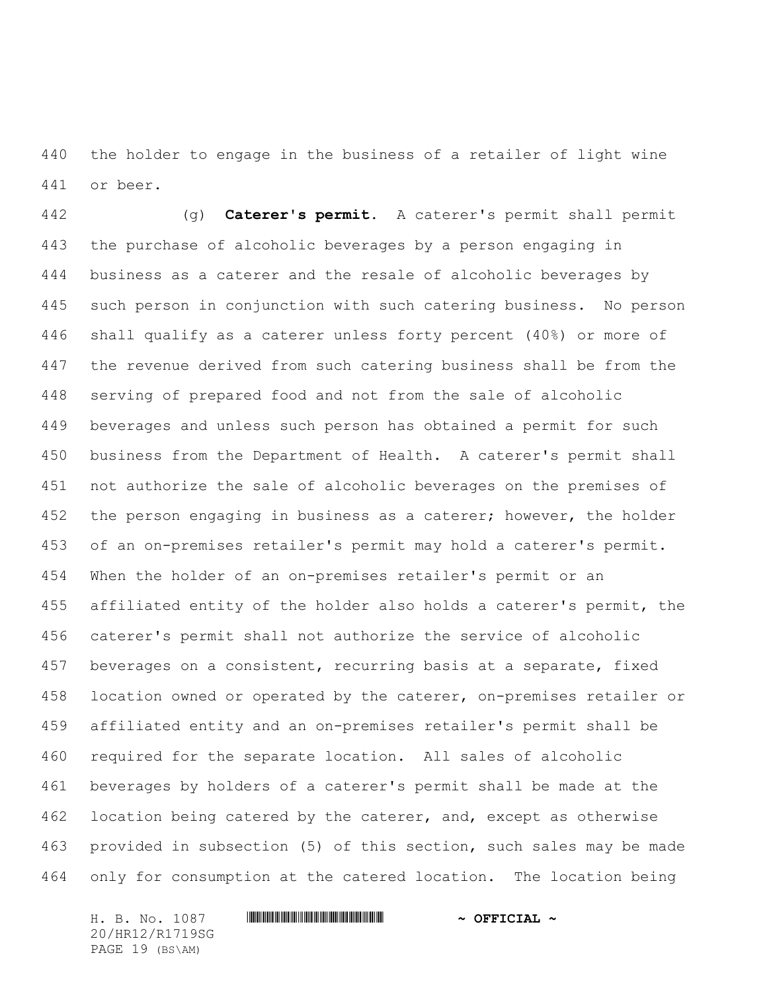the holder to engage in the business of a retailer of light wine or beer.

 (g) **Caterer's permit.** A caterer's permit shall permit the purchase of alcoholic beverages by a person engaging in business as a caterer and the resale of alcoholic beverages by such person in conjunction with such catering business. No person shall qualify as a caterer unless forty percent (40%) or more of the revenue derived from such catering business shall be from the serving of prepared food and not from the sale of alcoholic beverages and unless such person has obtained a permit for such business from the Department of Health. A caterer's permit shall not authorize the sale of alcoholic beverages on the premises of 452 the person engaging in business as a caterer; however, the holder of an on-premises retailer's permit may hold a caterer's permit. When the holder of an on-premises retailer's permit or an affiliated entity of the holder also holds a caterer's permit, the caterer's permit shall not authorize the service of alcoholic 457 beverages on a consistent, recurring basis at a separate, fixed location owned or operated by the caterer, on-premises retailer or affiliated entity and an on-premises retailer's permit shall be required for the separate location. All sales of alcoholic beverages by holders of a caterer's permit shall be made at the 462 location being catered by the caterer, and, except as otherwise provided in subsection (5) of this section, such sales may be made only for consumption at the catered location. The location being

H. B. No. 1087 \*HR12/R1719SG\* **~ OFFICIAL ~** 20/HR12/R1719SG PAGE 19 (BS\AM)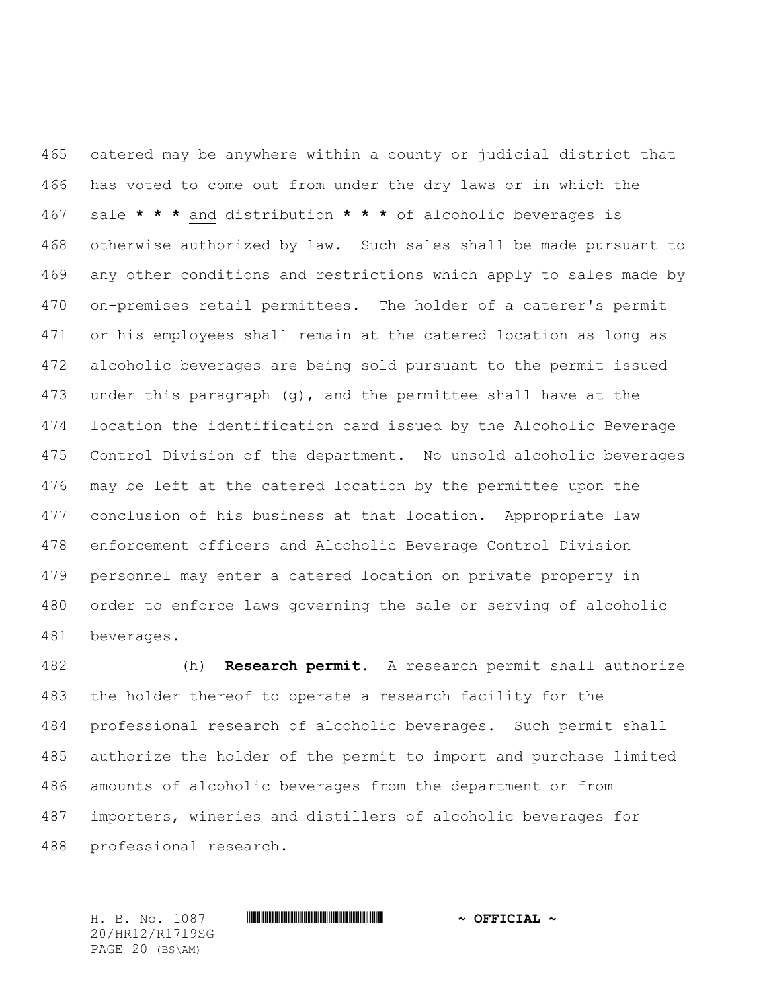catered may be anywhere within a county or judicial district that has voted to come out from under the dry laws or in which the sale **\* \* \*** and distribution **\* \* \*** of alcoholic beverages is otherwise authorized by law. Such sales shall be made pursuant to any other conditions and restrictions which apply to sales made by on-premises retail permittees. The holder of a caterer's permit or his employees shall remain at the catered location as long as alcoholic beverages are being sold pursuant to the permit issued under this paragraph (g), and the permittee shall have at the location the identification card issued by the Alcoholic Beverage Control Division of the department. No unsold alcoholic beverages may be left at the catered location by the permittee upon the conclusion of his business at that location. Appropriate law enforcement officers and Alcoholic Beverage Control Division personnel may enter a catered location on private property in order to enforce laws governing the sale or serving of alcoholic beverages.

 (h) **Research permit.** A research permit shall authorize the holder thereof to operate a research facility for the professional research of alcoholic beverages. Such permit shall authorize the holder of the permit to import and purchase limited amounts of alcoholic beverages from the department or from importers, wineries and distillers of alcoholic beverages for professional research.

20/HR12/R1719SG PAGE 20 (BS\AM)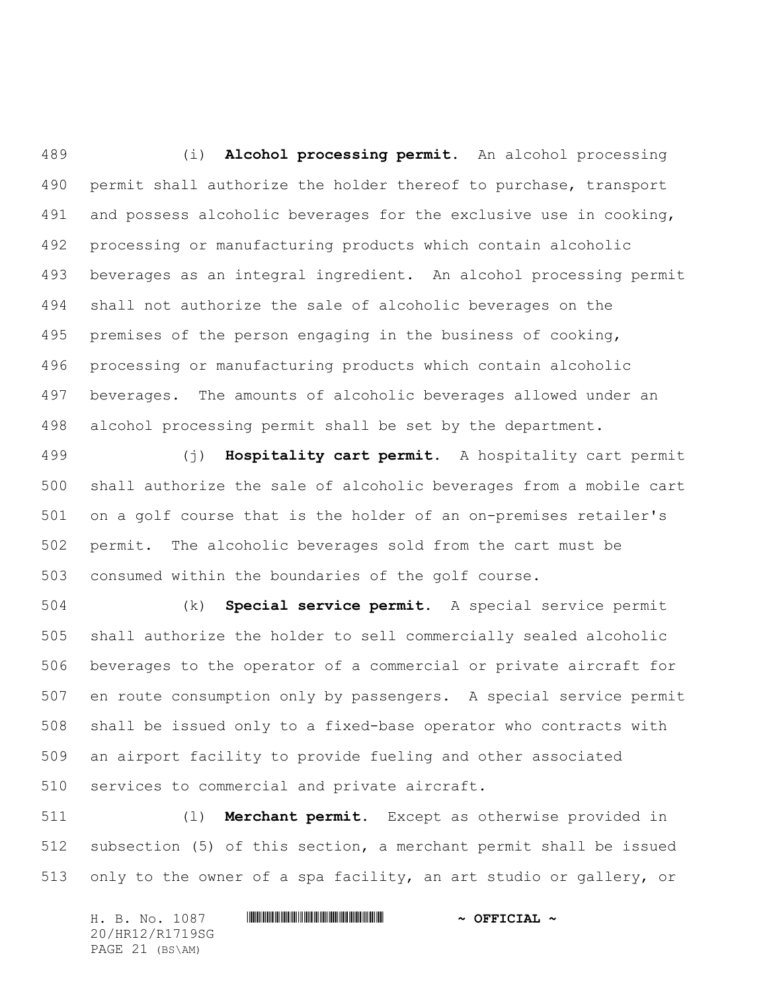(i) **Alcohol processing permit.** An alcohol processing permit shall authorize the holder thereof to purchase, transport 491 and possess alcoholic beverages for the exclusive use in cooking, processing or manufacturing products which contain alcoholic beverages as an integral ingredient. An alcohol processing permit shall not authorize the sale of alcoholic beverages on the premises of the person engaging in the business of cooking, processing or manufacturing products which contain alcoholic beverages. The amounts of alcoholic beverages allowed under an alcohol processing permit shall be set by the department.

 (j) **Hospitality cart permit.** A hospitality cart permit shall authorize the sale of alcoholic beverages from a mobile cart on a golf course that is the holder of an on-premises retailer's permit. The alcoholic beverages sold from the cart must be consumed within the boundaries of the golf course.

 (k) **Special service permit.** A special service permit shall authorize the holder to sell commercially sealed alcoholic beverages to the operator of a commercial or private aircraft for en route consumption only by passengers. A special service permit shall be issued only to a fixed-base operator who contracts with an airport facility to provide fueling and other associated services to commercial and private aircraft.

 (l) **Merchant permit.** Except as otherwise provided in subsection (5) of this section, a merchant permit shall be issued only to the owner of a spa facility, an art studio or gallery, or

H. B. No. 1087 \*HR12/R1719SG\* **~ OFFICIAL ~** 20/HR12/R1719SG PAGE 21 (BS\AM)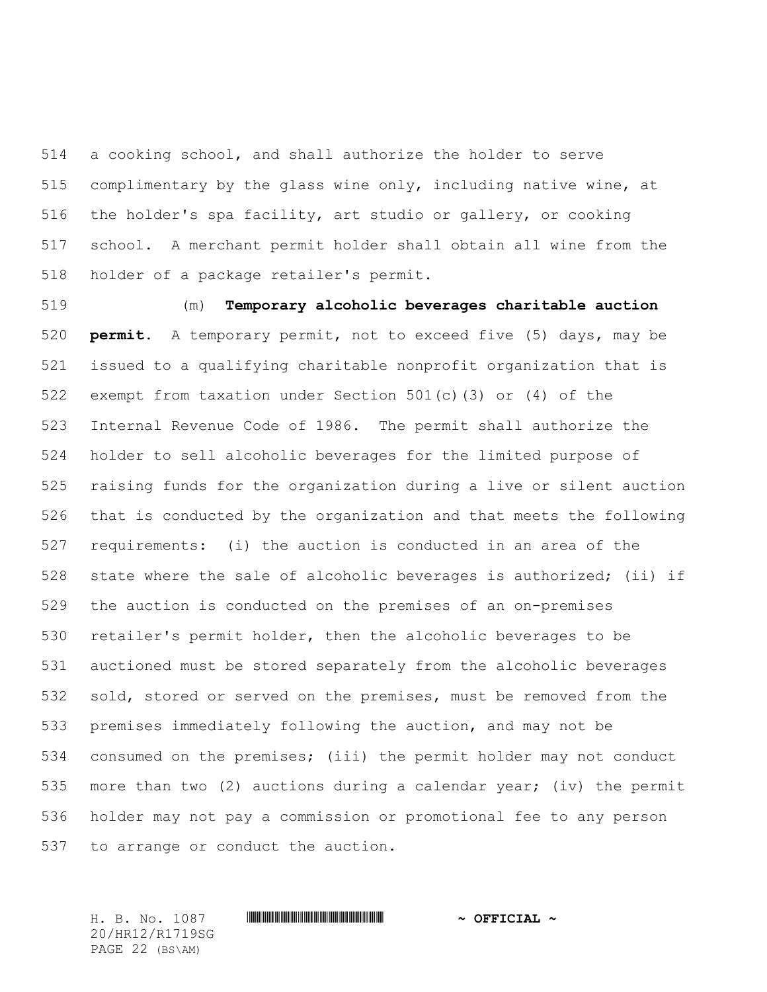a cooking school, and shall authorize the holder to serve complimentary by the glass wine only, including native wine, at the holder's spa facility, art studio or gallery, or cooking school. A merchant permit holder shall obtain all wine from the holder of a package retailer's permit.

 (m) **Temporary alcoholic beverages charitable auction permit.** A temporary permit, not to exceed five (5) days, may be issued to a qualifying charitable nonprofit organization that is exempt from taxation under Section 501(c)(3) or (4) of the Internal Revenue Code of 1986. The permit shall authorize the holder to sell alcoholic beverages for the limited purpose of raising funds for the organization during a live or silent auction that is conducted by the organization and that meets the following requirements: (i) the auction is conducted in an area of the state where the sale of alcoholic beverages is authorized; (ii) if the auction is conducted on the premises of an on-premises retailer's permit holder, then the alcoholic beverages to be auctioned must be stored separately from the alcoholic beverages sold, stored or served on the premises, must be removed from the premises immediately following the auction, and may not be consumed on the premises; (iii) the permit holder may not conduct more than two (2) auctions during a calendar year; (iv) the permit holder may not pay a commission or promotional fee to any person to arrange or conduct the auction.

20/HR12/R1719SG PAGE 22 (BS\AM)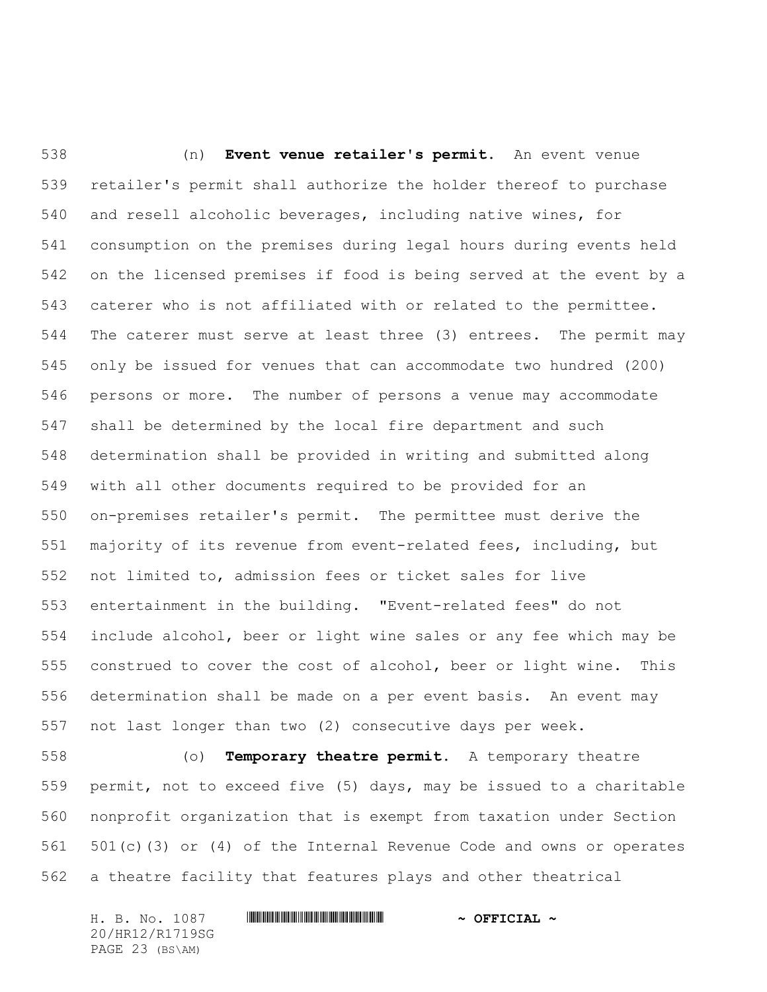(n) **Event venue retailer's permit.** An event venue retailer's permit shall authorize the holder thereof to purchase and resell alcoholic beverages, including native wines, for consumption on the premises during legal hours during events held on the licensed premises if food is being served at the event by a caterer who is not affiliated with or related to the permittee. The caterer must serve at least three (3) entrees. The permit may only be issued for venues that can accommodate two hundred (200) persons or more. The number of persons a venue may accommodate shall be determined by the local fire department and such determination shall be provided in writing and submitted along with all other documents required to be provided for an on-premises retailer's permit. The permittee must derive the majority of its revenue from event-related fees, including, but not limited to, admission fees or ticket sales for live entertainment in the building. "Event-related fees" do not include alcohol, beer or light wine sales or any fee which may be construed to cover the cost of alcohol, beer or light wine. This determination shall be made on a per event basis. An event may not last longer than two (2) consecutive days per week.

 (o) **Temporary theatre permit.** A temporary theatre permit, not to exceed five (5) days, may be issued to a charitable nonprofit organization that is exempt from taxation under Section 501(c)(3) or (4) of the Internal Revenue Code and owns or operates a theatre facility that features plays and other theatrical

H. B. No. 1087 \*HR12/R1719SG\* **~ OFFICIAL ~** 20/HR12/R1719SG PAGE 23 (BS\AM)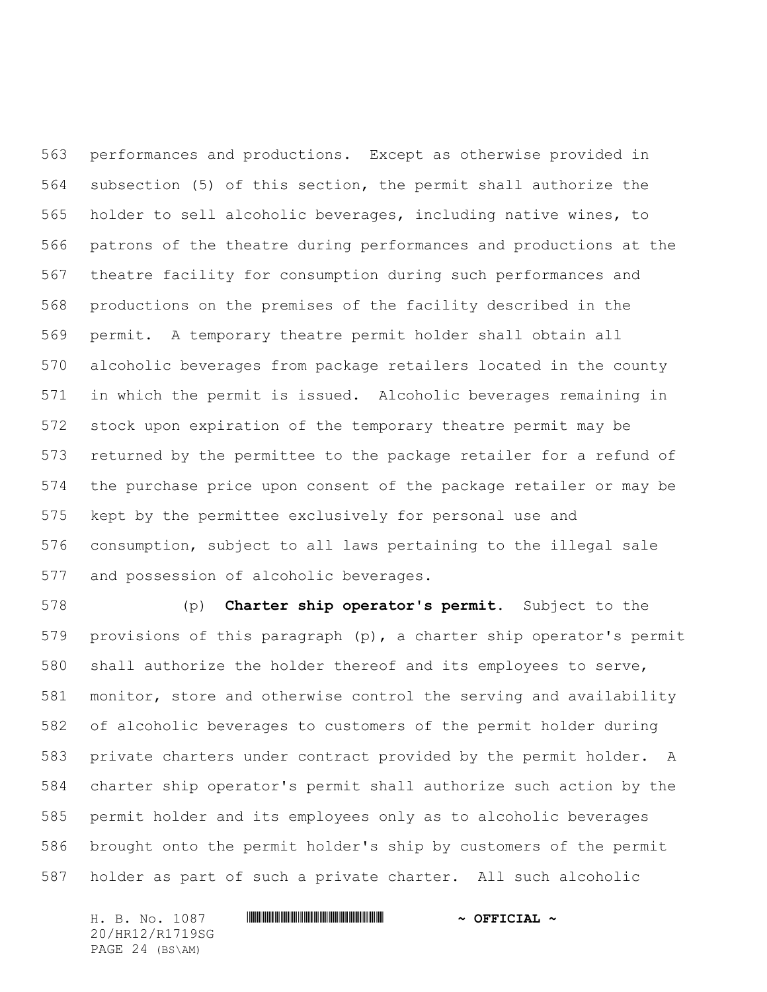performances and productions. Except as otherwise provided in subsection (5) of this section, the permit shall authorize the holder to sell alcoholic beverages, including native wines, to patrons of the theatre during performances and productions at the theatre facility for consumption during such performances and productions on the premises of the facility described in the permit. A temporary theatre permit holder shall obtain all alcoholic beverages from package retailers located in the county in which the permit is issued. Alcoholic beverages remaining in stock upon expiration of the temporary theatre permit may be returned by the permittee to the package retailer for a refund of the purchase price upon consent of the package retailer or may be kept by the permittee exclusively for personal use and consumption, subject to all laws pertaining to the illegal sale and possession of alcoholic beverages.

 (p) **Charter ship operator's permit.** Subject to the provisions of this paragraph (p), a charter ship operator's permit shall authorize the holder thereof and its employees to serve, monitor, store and otherwise control the serving and availability of alcoholic beverages to customers of the permit holder during private charters under contract provided by the permit holder. A charter ship operator's permit shall authorize such action by the permit holder and its employees only as to alcoholic beverages brought onto the permit holder's ship by customers of the permit holder as part of such a private charter. All such alcoholic

H. B. No. 1087 \*HR12/R1719SG\* **~ OFFICIAL ~** 20/HR12/R1719SG PAGE 24 (BS\AM)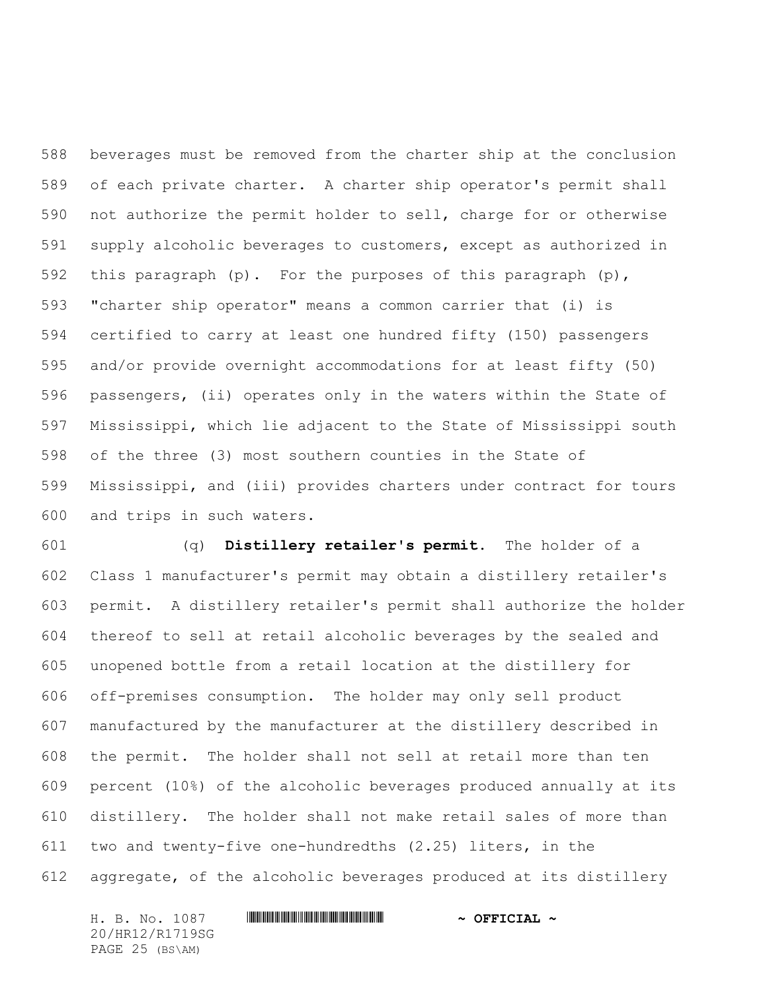beverages must be removed from the charter ship at the conclusion of each private charter. A charter ship operator's permit shall not authorize the permit holder to sell, charge for or otherwise supply alcoholic beverages to customers, except as authorized in this paragraph (p). For the purposes of this paragraph (p), "charter ship operator" means a common carrier that (i) is certified to carry at least one hundred fifty (150) passengers and/or provide overnight accommodations for at least fifty (50) passengers, (ii) operates only in the waters within the State of Mississippi, which lie adjacent to the State of Mississippi south of the three (3) most southern counties in the State of Mississippi, and (iii) provides charters under contract for tours and trips in such waters.

 (q) **Distillery retailer's permit.** The holder of a Class 1 manufacturer's permit may obtain a distillery retailer's permit. A distillery retailer's permit shall authorize the holder thereof to sell at retail alcoholic beverages by the sealed and unopened bottle from a retail location at the distillery for off-premises consumption. The holder may only sell product manufactured by the manufacturer at the distillery described in the permit. The holder shall not sell at retail more than ten percent (10%) of the alcoholic beverages produced annually at its distillery. The holder shall not make retail sales of more than two and twenty-five one-hundredths (2.25) liters, in the aggregate, of the alcoholic beverages produced at its distillery

H. B. No. 1087 \*HR12/R1719SG\* **~ OFFICIAL ~** 20/HR12/R1719SG PAGE 25 (BS\AM)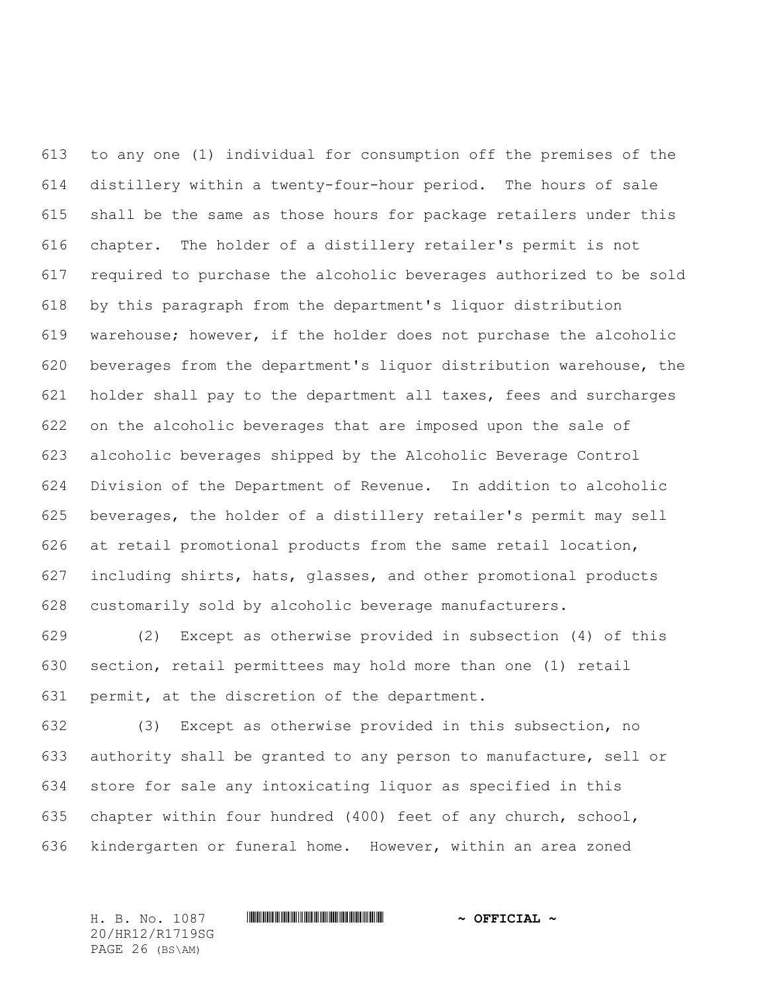to any one (1) individual for consumption off the premises of the distillery within a twenty-four-hour period. The hours of sale shall be the same as those hours for package retailers under this chapter. The holder of a distillery retailer's permit is not required to purchase the alcoholic beverages authorized to be sold by this paragraph from the department's liquor distribution warehouse; however, if the holder does not purchase the alcoholic beverages from the department's liquor distribution warehouse, the holder shall pay to the department all taxes, fees and surcharges on the alcoholic beverages that are imposed upon the sale of alcoholic beverages shipped by the Alcoholic Beverage Control Division of the Department of Revenue. In addition to alcoholic beverages, the holder of a distillery retailer's permit may sell at retail promotional products from the same retail location, including shirts, hats, glasses, and other promotional products customarily sold by alcoholic beverage manufacturers.

 (2) Except as otherwise provided in subsection (4) of this section, retail permittees may hold more than one (1) retail permit, at the discretion of the department.

 (3) Except as otherwise provided in this subsection, no authority shall be granted to any person to manufacture, sell or store for sale any intoxicating liquor as specified in this chapter within four hundred (400) feet of any church, school, kindergarten or funeral home. However, within an area zoned

20/HR12/R1719SG PAGE 26 (BS\AM)

#### H. B. No. 1087 \*HR12/R1719SG\* **~ OFFICIAL ~**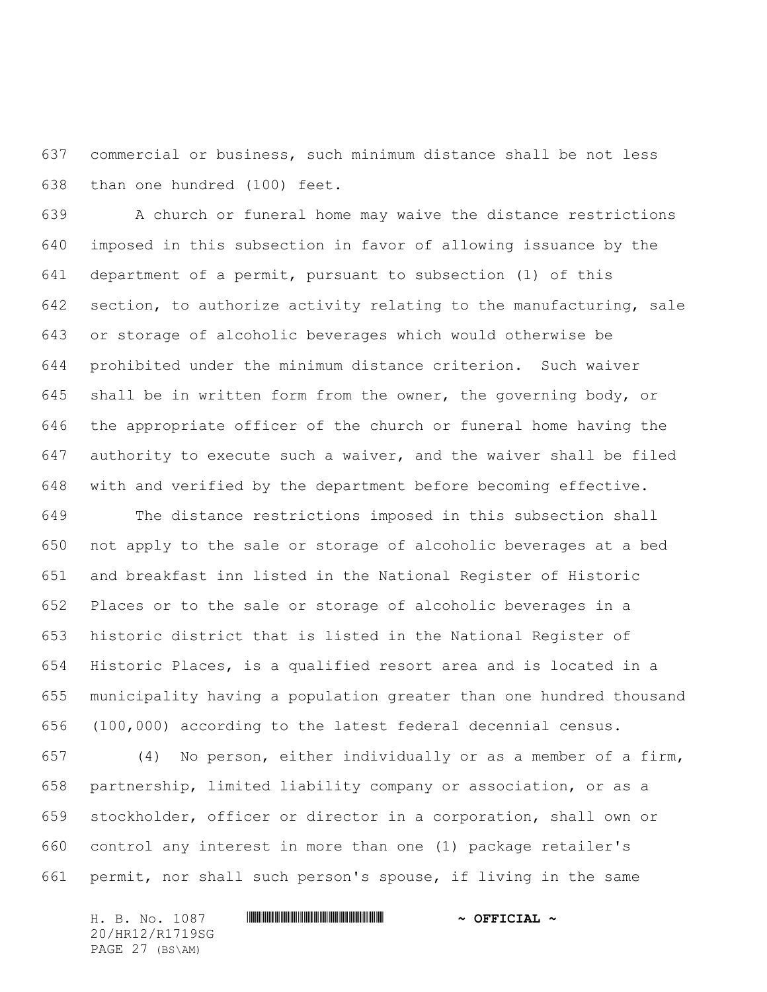commercial or business, such minimum distance shall be not less than one hundred (100) feet.

 A church or funeral home may waive the distance restrictions imposed in this subsection in favor of allowing issuance by the department of a permit, pursuant to subsection (1) of this section, to authorize activity relating to the manufacturing, sale or storage of alcoholic beverages which would otherwise be prohibited under the minimum distance criterion. Such waiver shall be in written form from the owner, the governing body, or the appropriate officer of the church or funeral home having the authority to execute such a waiver, and the waiver shall be filed with and verified by the department before becoming effective.

 The distance restrictions imposed in this subsection shall not apply to the sale or storage of alcoholic beverages at a bed and breakfast inn listed in the National Register of Historic Places or to the sale or storage of alcoholic beverages in a historic district that is listed in the National Register of Historic Places, is a qualified resort area and is located in a municipality having a population greater than one hundred thousand (100,000) according to the latest federal decennial census.

 (4) No person, either individually or as a member of a firm, partnership, limited liability company or association, or as a stockholder, officer or director in a corporation, shall own or control any interest in more than one (1) package retailer's permit, nor shall such person's spouse, if living in the same

H. B. No. 1087 \*HR12/R1719SG\* **~ OFFICIAL ~** 20/HR12/R1719SG PAGE 27 (BS\AM)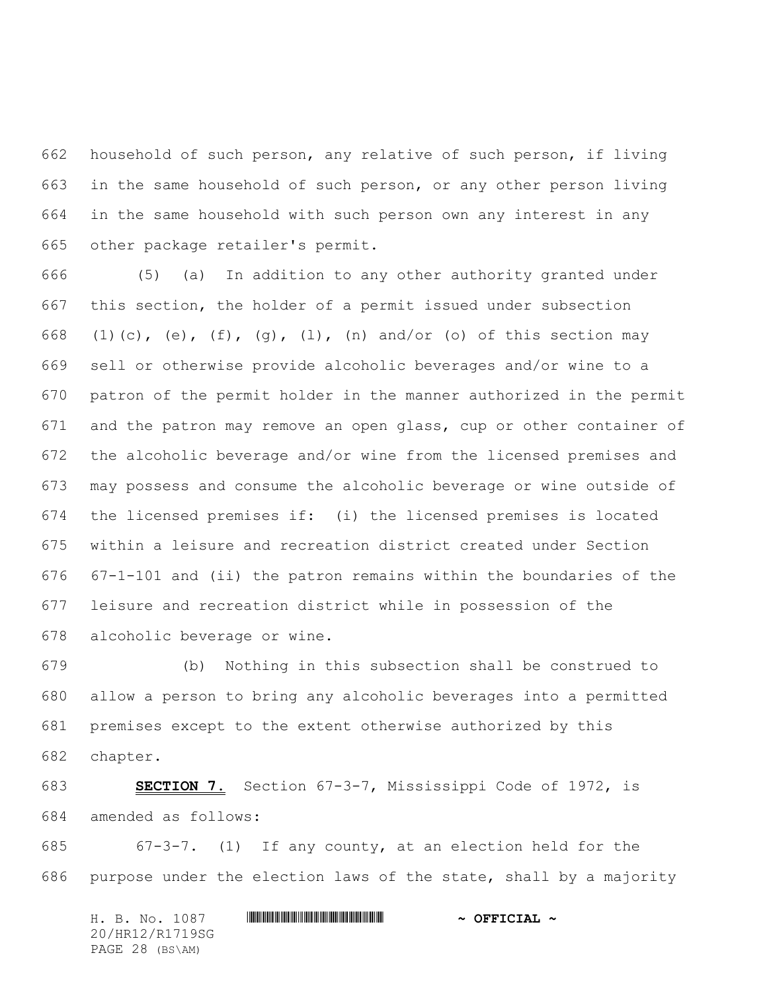household of such person, any relative of such person, if living in the same household of such person, or any other person living in the same household with such person own any interest in any other package retailer's permit.

 (5) (a) In addition to any other authority granted under this section, the holder of a permit issued under subsection 668 (1)(c), (e), (f), (g), (1), (n) and/or (o) of this section may sell or otherwise provide alcoholic beverages and/or wine to a patron of the permit holder in the manner authorized in the permit and the patron may remove an open glass, cup or other container of the alcoholic beverage and/or wine from the licensed premises and may possess and consume the alcoholic beverage or wine outside of the licensed premises if: (i) the licensed premises is located within a leisure and recreation district created under Section 67-1-101 and (ii) the patron remains within the boundaries of the leisure and recreation district while in possession of the alcoholic beverage or wine.

 (b) Nothing in this subsection shall be construed to allow a person to bring any alcoholic beverages into a permitted premises except to the extent otherwise authorized by this chapter.

 **SECTION 7.** Section 67-3-7, Mississippi Code of 1972, is amended as follows:

 67-3-7. (1) If any county, at an election held for the purpose under the election laws of the state, shall by a majority

H. B. No. 1087 \*HR12/R1719SG\* **~ OFFICIAL ~** 20/HR12/R1719SG PAGE 28 (BS\AM)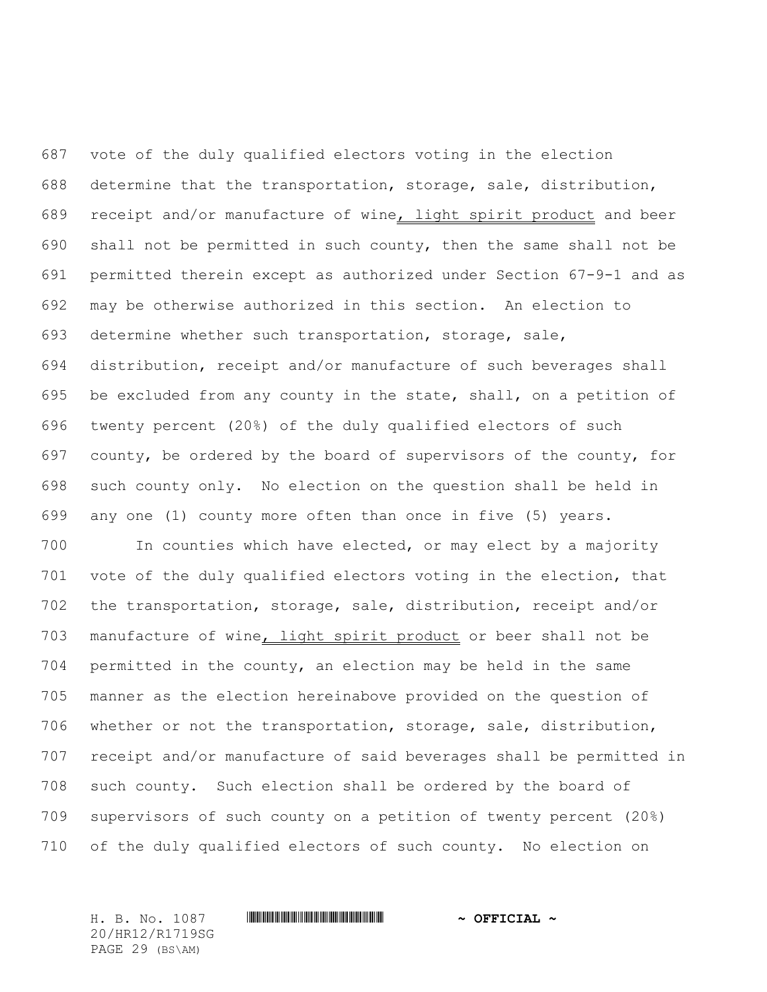vote of the duly qualified electors voting in the election determine that the transportation, storage, sale, distribution, 689 receipt and/or manufacture of wine, light spirit product and beer shall not be permitted in such county, then the same shall not be permitted therein except as authorized under Section 67-9-1 and as may be otherwise authorized in this section. An election to determine whether such transportation, storage, sale, distribution, receipt and/or manufacture of such beverages shall be excluded from any county in the state, shall, on a petition of twenty percent (20%) of the duly qualified electors of such county, be ordered by the board of supervisors of the county, for such county only. No election on the question shall be held in any one (1) county more often than once in five (5) years.

 In counties which have elected, or may elect by a majority vote of the duly qualified electors voting in the election, that the transportation, storage, sale, distribution, receipt and/or 703 manufacture of wine, light spirit product or beer shall not be permitted in the county, an election may be held in the same manner as the election hereinabove provided on the question of whether or not the transportation, storage, sale, distribution, receipt and/or manufacture of said beverages shall be permitted in such county. Such election shall be ordered by the board of supervisors of such county on a petition of twenty percent (20%) of the duly qualified electors of such county. No election on

H. B. No. 1087 \*HR12/R1719SG\* **~ OFFICIAL ~** 20/HR12/R1719SG PAGE 29 (BS\AM)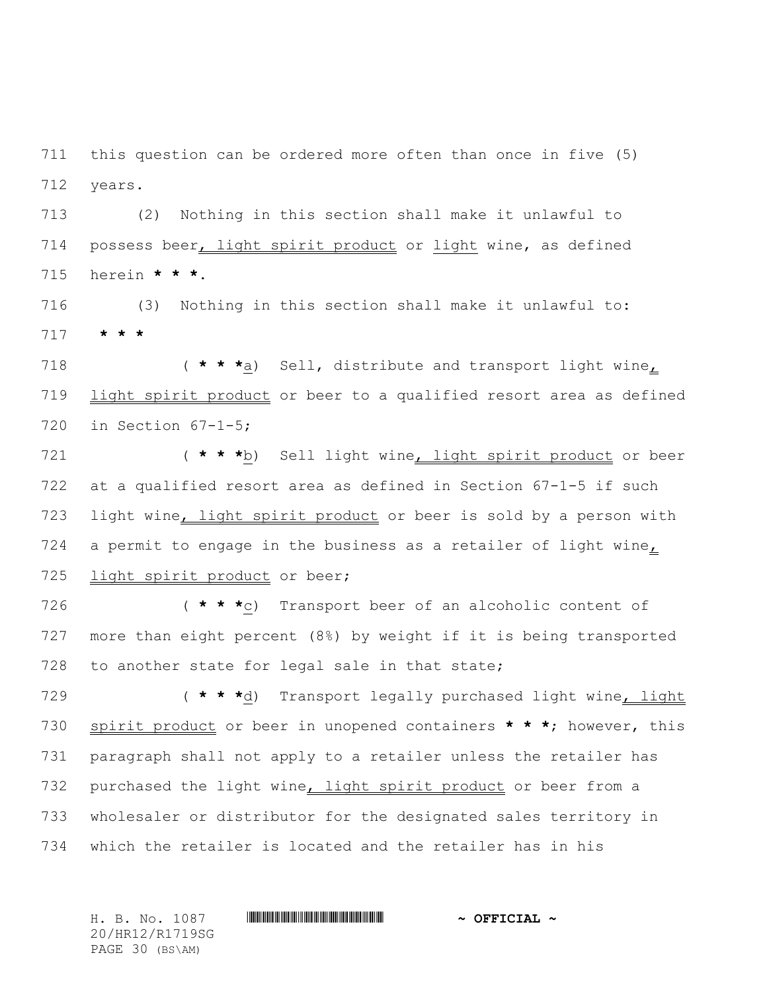this question can be ordered more often than once in five (5) years.

 (2) Nothing in this section shall make it unlawful to 714 possess beer, light spirit product or light wine, as defined herein **\* \* \***.

 (3) Nothing in this section shall make it unlawful to: **\* \* \***

 ( **\* \* \***a) Sell, distribute and transport light wine, light spirit product or beer to a qualified resort area as defined in Section 67-1-5;

 ( **\* \* \***b) Sell light wine, light spirit product or beer at a qualified resort area as defined in Section 67-1-5 if such 723 light wine, light spirit product or beer is sold by a person with 724 a permit to engage in the business as a retailer of light wine, 725 light spirit product or beer;

 ( **\* \* \***c) Transport beer of an alcoholic content of more than eight percent (8%) by weight if it is being transported to another state for legal sale in that state;

 ( **\* \* \***d) Transport legally purchased light wine, light spirit product or beer in unopened containers **\* \* \***; however, this paragraph shall not apply to a retailer unless the retailer has 732 purchased the light wine, light spirit product or beer from a wholesaler or distributor for the designated sales territory in which the retailer is located and the retailer has in his

20/HR12/R1719SG PAGE 30 (BS\AM)

### H. B. No. 1087 \*HR12/R1719SG\* **~ OFFICIAL ~**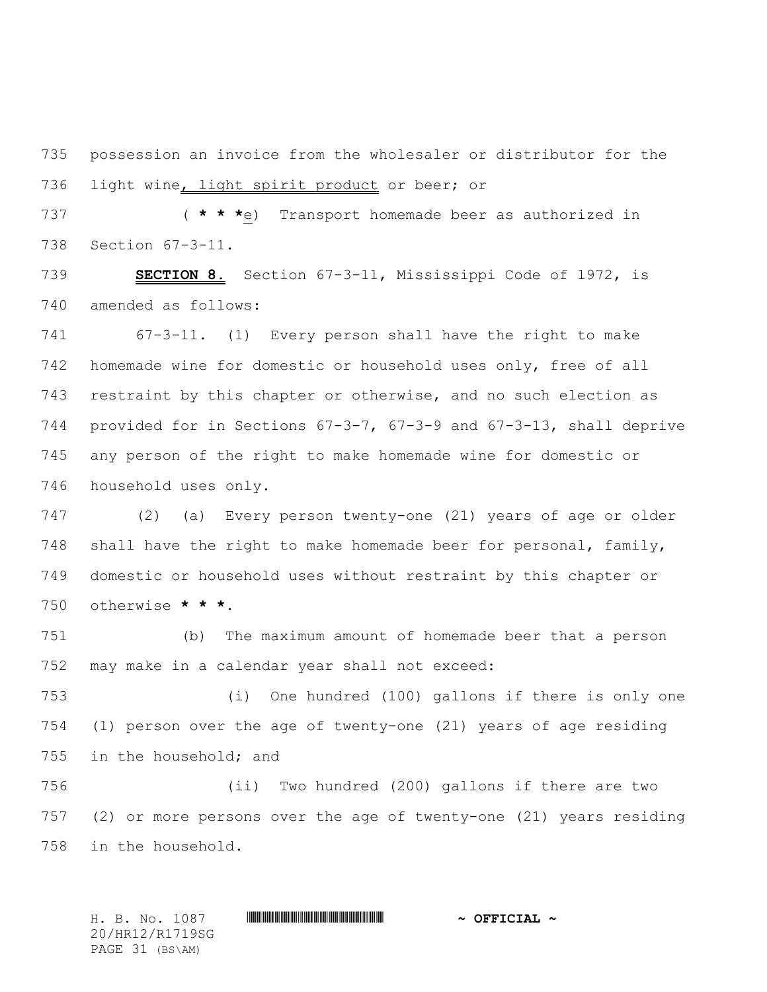possession an invoice from the wholesaler or distributor for the 736 light wine, light spirit product or beer; or

 ( **\* \* \***e) Transport homemade beer as authorized in Section 67-3-11.

 **SECTION 8.** Section 67-3-11, Mississippi Code of 1972, is amended as follows:

 67-3-11. (1) Every person shall have the right to make homemade wine for domestic or household uses only, free of all restraint by this chapter or otherwise, and no such election as provided for in Sections 67-3-7, 67-3-9 and 67-3-13, shall deprive any person of the right to make homemade wine for domestic or household uses only.

 (2) (a) Every person twenty-one (21) years of age or older shall have the right to make homemade beer for personal, family, domestic or household uses without restraint by this chapter or otherwise **\* \* \***.

 (b) The maximum amount of homemade beer that a person may make in a calendar year shall not exceed:

 (i) One hundred (100) gallons if there is only one (1) person over the age of twenty-one (21) years of age residing in the household; and

 (ii) Two hundred (200) gallons if there are two (2) or more persons over the age of twenty-one (21) years residing in the household.

H. B. No. 1087 \*HR12/R1719SG\* **~ OFFICIAL ~** 20/HR12/R1719SG PAGE 31 (BS\AM)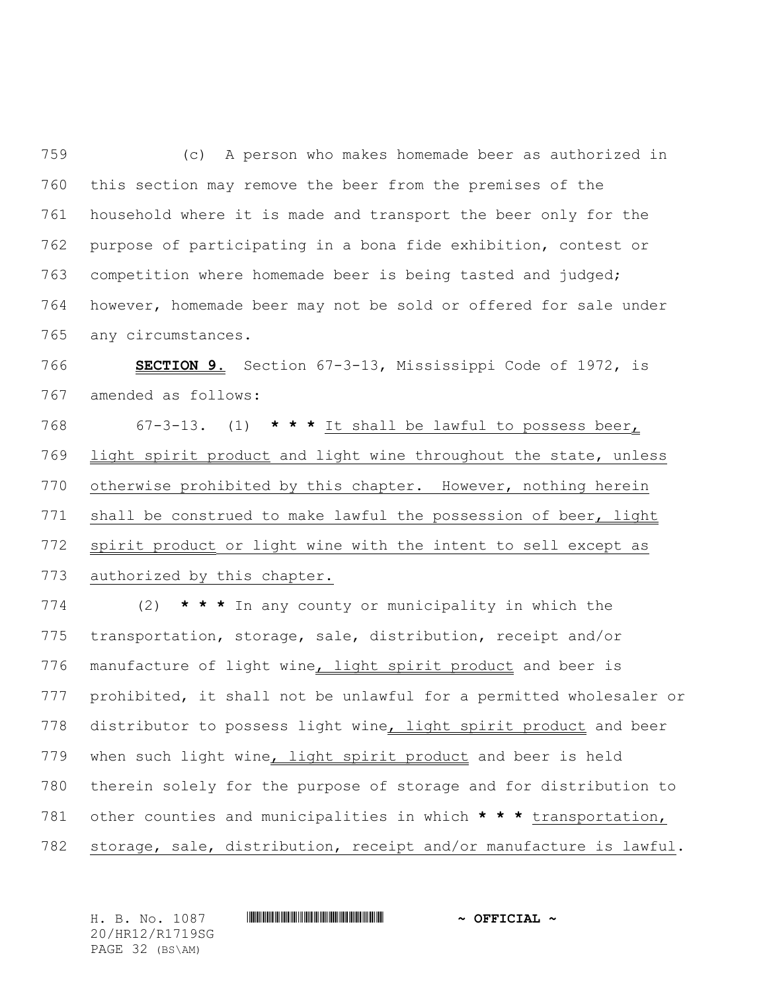(c) A person who makes homemade beer as authorized in this section may remove the beer from the premises of the household where it is made and transport the beer only for the purpose of participating in a bona fide exhibition, contest or competition where homemade beer is being tasted and judged; however, homemade beer may not be sold or offered for sale under any circumstances.

 **SECTION 9.** Section 67-3-13, Mississippi Code of 1972, is amended as follows:

 67-3-13. (1) **\* \* \*** It shall be lawful to possess beer, 769 light spirit product and light wine throughout the state, unless otherwise prohibited by this chapter. However, nothing herein 771 shall be construed to make lawful the possession of beer, light 772 spirit product or light wine with the intent to sell except as authorized by this chapter.

 (2) **\* \* \*** In any county or municipality in which the transportation, storage, sale, distribution, receipt and/or 776 manufacture of light wine, light spirit product and beer is prohibited, it shall not be unlawful for a permitted wholesaler or 778 distributor to possess light wine, light spirit product and beer 779 when such light wine, light spirit product and beer is held therein solely for the purpose of storage and for distribution to other counties and municipalities in which **\* \* \*** transportation, storage, sale, distribution, receipt and/or manufacture is lawful.

H. B. No. 1087 \*HR12/R1719SG\* **~ OFFICIAL ~** 20/HR12/R1719SG PAGE 32 (BS\AM)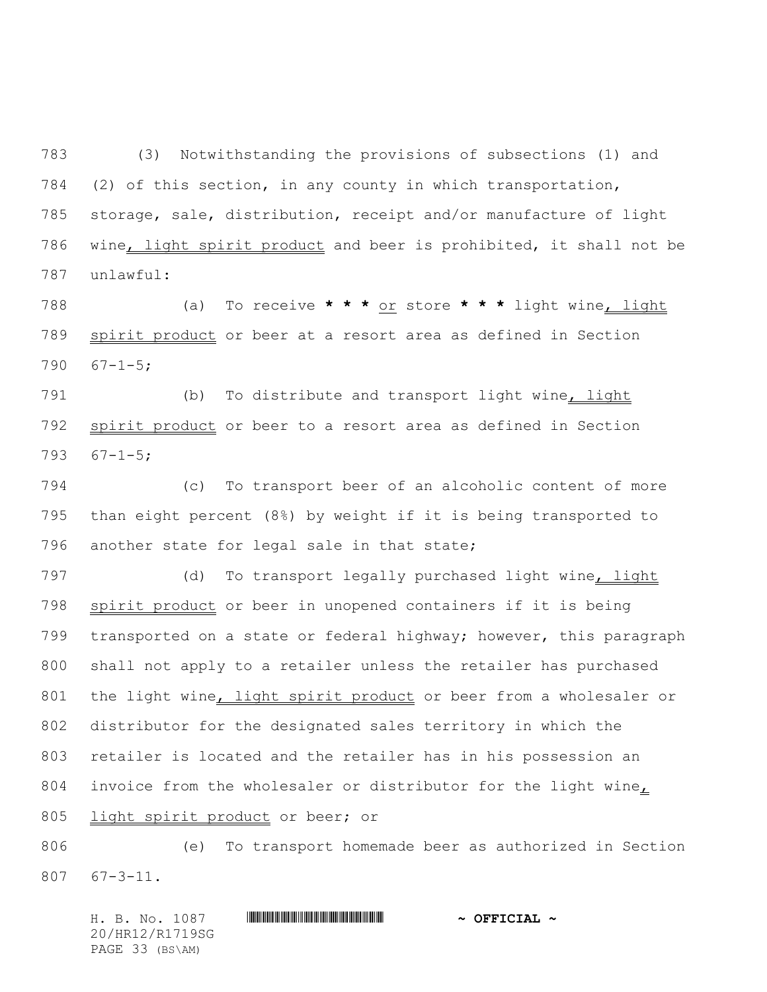(3) Notwithstanding the provisions of subsections (1) and (2) of this section, in any county in which transportation, storage, sale, distribution, receipt and/or manufacture of light wine, light spirit product and beer is prohibited, it shall not be unlawful:

 (a) To receive **\* \* \*** or store **\* \* \*** light wine, light spirit product or beer at a resort area as defined in Section  $67-1-5;$ 

791 (b) To distribute and transport light wine, light spirit product or beer to a resort area as defined in Section 67-1-5;

 (c) To transport beer of an alcoholic content of more than eight percent (8%) by weight if it is being transported to another state for legal sale in that state;

797 (d) To transport legally purchased light wine, light spirit product or beer in unopened containers if it is being transported on a state or federal highway; however, this paragraph shall not apply to a retailer unless the retailer has purchased 801 the light wine, light spirit product or beer from a wholesaler or distributor for the designated sales territory in which the retailer is located and the retailer has in his possession an invoice from the wholesaler or distributor for the light wine, 805 light spirit product or beer; or

 (e) To transport homemade beer as authorized in Section 67-3-11.

H. B. No. 1087 \*HR12/R1719SG\* **~ OFFICIAL ~** 20/HR12/R1719SG PAGE 33 (BS\AM)